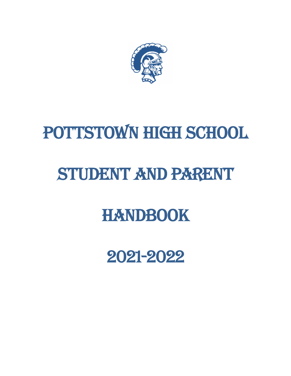

# POTTSTOWN HIGH SCHOOL

# STUDENT AND PARENT

# **HANDBOOK**

2021-2022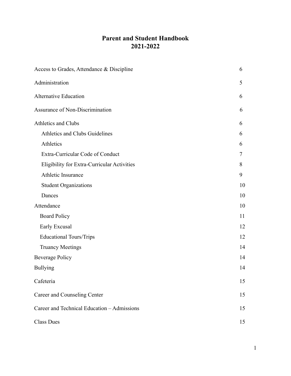## **Parent and Student Handbook 2021-2022**

| Access to Grades, Attendance & Discipline   | 6  |
|---------------------------------------------|----|
| Administration                              | 5  |
| <b>Alternative Education</b>                | 6  |
| Assurance of Non-Discrimination             | 6  |
| <b>Athletics and Clubs</b>                  | 6  |
| Athletics and Clubs Guidelines              | 6  |
| Athletics                                   | 6  |
| Extra-Curricular Code of Conduct            | 7  |
| Eligibility for Extra-Curricular Activities | 8  |
| Athletic Insurance                          | 9  |
| <b>Student Organizations</b>                | 10 |
| Dances                                      | 10 |
| Attendance                                  | 10 |
| <b>Board Policy</b>                         | 11 |
| Early Excusal                               | 12 |
| <b>Educational Tours/Trips</b>              | 12 |
| <b>Truancy Meetings</b>                     | 14 |
| <b>Beverage Policy</b>                      | 14 |
| <b>Bullying</b>                             | 14 |
| Cafeteria                                   | 15 |
| Career and Counseling Center                | 15 |
| Career and Technical Education - Admissions | 15 |
| <b>Class Dues</b>                           | 15 |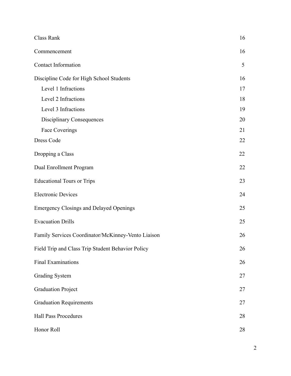| Class Rank                                         | 16 |
|----------------------------------------------------|----|
| Commencement                                       | 16 |
| <b>Contact Information</b>                         | 5  |
| Discipline Code for High School Students           | 16 |
| Level 1 Infractions                                | 17 |
| Level 2 Infractions                                | 18 |
| Level 3 Infractions                                | 19 |
| <b>Disciplinary Consequences</b>                   | 20 |
| Face Coverings                                     | 21 |
| Dress Code                                         | 22 |
| Dropping a Class                                   | 22 |
| Dual Enrollment Program                            | 22 |
| <b>Educational Tours or Trips</b>                  | 23 |
| <b>Electronic Devices</b>                          | 24 |
| <b>Emergency Closings and Delayed Openings</b>     | 25 |
| <b>Evacuation Drills</b>                           | 25 |
| Family Services Coordinator/McKinney-Vento Liaison | 26 |
| Field Trip and Class Trip Student Behavior Policy  | 26 |
| <b>Final Examinations</b>                          | 26 |
| <b>Grading System</b>                              | 27 |
| <b>Graduation Project</b>                          | 27 |
| <b>Graduation Requirements</b>                     | 27 |
| <b>Hall Pass Procedures</b>                        | 28 |
| Honor Roll                                         | 28 |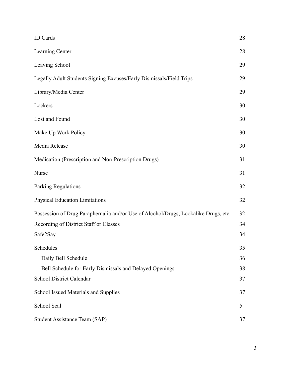| <b>ID</b> Cards                                                                    | 28 |
|------------------------------------------------------------------------------------|----|
| Learning Center                                                                    | 28 |
| Leaving School                                                                     | 29 |
| Legally Adult Students Signing Excuses/Early Dismissals/Field Trips                | 29 |
| Library/Media Center                                                               | 29 |
| Lockers                                                                            | 30 |
| Lost and Found                                                                     | 30 |
| Make Up Work Policy                                                                | 30 |
| Media Release                                                                      | 30 |
| Medication (Prescription and Non-Prescription Drugs)                               | 31 |
| Nurse                                                                              | 31 |
| Parking Regulations                                                                | 32 |
| <b>Physical Education Limitations</b>                                              | 32 |
| Possession of Drug Paraphernalia and/or Use of Alcohol/Drugs, Lookalike Drugs, etc | 32 |
| Recording of District Staff or Classes                                             | 34 |
| Safe2Say                                                                           | 34 |
| Schedules                                                                          | 35 |
| Daily Bell Schedule                                                                | 36 |
| Bell Schedule for Early Dismissals and Delayed Openings                            | 38 |
| School District Calendar                                                           | 37 |
| School Issued Materials and Supplies                                               | 37 |
| School Seal                                                                        | 5  |
| <b>Student Assistance Team (SAP)</b>                                               | 37 |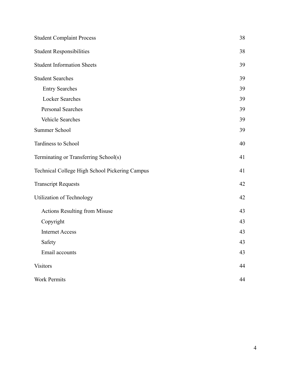| <b>Student Complaint Process</b>               | 38 |
|------------------------------------------------|----|
| <b>Student Responsibilities</b>                | 38 |
| <b>Student Information Sheets</b>              | 39 |
| <b>Student Searches</b>                        | 39 |
| <b>Entry Searches</b>                          | 39 |
| <b>Locker Searches</b>                         | 39 |
| Personal Searches                              | 39 |
| Vehicle Searches                               | 39 |
| Summer School                                  | 39 |
| Tardiness to School                            | 40 |
| Terminating or Transferring School(s)          | 41 |
| Technical College High School Pickering Campus | 41 |
| <b>Transcript Requests</b>                     | 42 |
| Utilization of Technology                      | 42 |
| <b>Actions Resulting from Misuse</b>           | 43 |
| Copyright                                      | 43 |
| <b>Internet Access</b>                         | 43 |
| Safety                                         | 43 |
| Email accounts                                 | 43 |
| <b>Visitors</b>                                | 44 |
| <b>Work Permits</b>                            | 44 |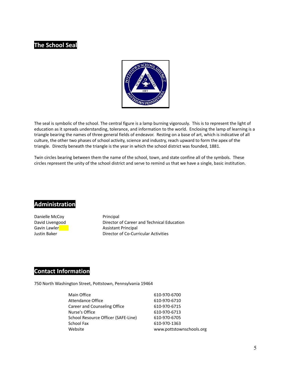## **The School Seal**



The seal is symbolic of the school. The central figure is a lamp burning vigorously. This is to represent the light of education as it spreads understanding, tolerance, and information to the world. Enclosing the lamp of learning is a triangle bearing the names of three general fields of endeavor. Resting on a base of art, which is indicative of all culture, the other two phases of school activity, science and industry, reach upward to form the apex of the triangle. Directly beneath the triangle is the year in which the school district was founded, 1881.

Twin circles bearing between them the name of the school, town, and state confine all of the symbols. These circles represent the unity of the school district and serve to remind us that we have a single, basic institution.

#### **Administration**

Danielle McCoy Principal

David Livengood Director of Career and Technical Education Gavin Lawler **Assistant Principal** Justin Baker Director of Co-Curricular Activities

### **Contact Information**

750 North Washington Street, Pottstown, Pennsylvania 19464

| Main Office                         | 610-970-6700             |
|-------------------------------------|--------------------------|
| Attendance Office                   | 610-970-6710             |
| Career and Counseling Office        | 610-970-6715             |
| Nurse's Office                      | 610-970-6713             |
| School Resource Officer (SAFE-Line) | 610-970-6705             |
| School Fax                          | 610-970-1363             |
| Website                             | www.pottstownschools.org |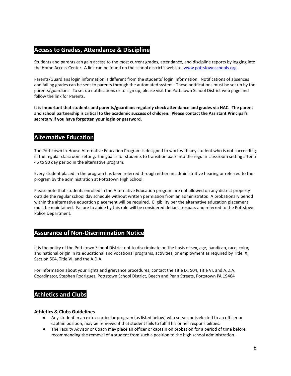#### **Access to Grades, Attendance & Discipline**

Students and parents can gain access to the most current grades, attendance, and discipline reports by logging into the Home Access Center. A link can be found on the school district's website, [www.pottstownschools.org.](http://www.pottstownschools.org)

Parents/Guardians login information is different from the students' login information. Notifications of absences and failing grades can be sent to parents through the automated system. These notifications must be set up by the parents/guardians. To set up notifications or to sign up, please visit the Pottstown School District web page and follow the link for Parents.

**It is important that students and parents/guardians regularly check attendance and grades via HAC. The parent and school partnership is critical to the academic success of children. Please contact the Assistant Principal's secretary if you have forgotten your login or password.**

## **Alternative Education**

The Pottstown In-House Alternative Education Program is designed to work with any student who is not succeeding in the regular classroom setting. The goal is for students to transition back into the regular classroom setting after a 45 to 90 day period in the alternative program.

Every student placed in the program has been referred through either an administrative hearing or referred to the program by the administration at Pottstown High School.

Please note that students enrolled in the Alternative Education program are not allowed on any district property outside the regular school day schedule without written permission from an administrator. A probationary period within the alternative education placement will be required. Eligibility per the alternative education placement must be maintained. Failure to abide by this rule will be considered defiant trespass and referred to the Pottstown Police Department.

## **Assurance of Non-Discrimination Notice**

It is the policy of the Pottstown School District not to discriminate on the basis of sex, age, handicap, race, color, and national origin in its educational and vocational programs, activities, or employment as required by Title IX, Section 504, Title VI, and the A.D.A.

For information about your rights and grievance procedures, contact the Title IX, 504, Title VI, and A.D.A. Coordinator, Stephen Rodriguez, Pottstown School District, Beech and Penn Streets, Pottstown PA 19464

## **Athletics and Clubs**

#### **Athletics & Clubs Guidelines**

- Any student in an extra-curricular program (as listed below) who serves or is elected to an officer or captain position, may be removed if that student fails to fulfill his or her responsibilities.
- The Faculty Advisor or Coach may place an officer or captain on probation for a period of time before recommending the removal of a student from such a position to the high school administration.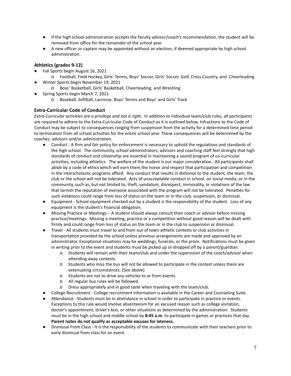- If the high school administration accepts the faculty advisor/coach's recommendation, the student will be removed from office for the remainder of the school year.
- A new officer or captain may be appointed without an election, if deemed appropriate by high school administration.

#### **Athletics (grades 9-12))**

- Fall Sports begin August 16, 2021
- o Football, Field Hockey, Girls' Tennis, Boys' Soccer, Girls' Soccer, Golf, Cross Country, and Cheerleading Winter Sports begin November 19, 2021
	- o Boys' Basketball, Girls' Basketball, Cheerleading, and Wrestling
- Spring Sports begin March 7, 2021
	- o Baseball, Softball, Lacrosse, Boys' Tennis and Boys' and Girls' Track

#### **Extra-Curricular Code of Conduct**

*Extra-Curricular activities are a privilege and not a right***.** In addition to individual team/club rules, all participants are required to adhere to the Extra-Curricular Code of Conduct as it is outlined below. Infractions to the Code of Conduct may be subject to consequences ranging from suspension from the activity for a determined time period to termination from all school activities for the entire school year. These consequences will be determined by the coaches, advisors and/or administration.

- Conduct A firm and fair policy for enforcement is necessary to uphold the regulations and standards of the high school. The community, school administrators, advisors and coaching staff feel strongly that high standards of conduct and citizenship are essential in maintaining a sound program of co-curricular activities, including athletics. The welfare of the student is our major consideration. All participants shall abide by a code of ethics which will earn them the honor and respect that participation and competition in the interscholastic programs afford. Any conduct that results in dishonor to the student, the team, the club or the school will not be tolerated. Acts of unacceptable conduct in school, on social media, or in the community, such as, but not limited to, theft, vandalism, disrespect, immorality, or violations of the law that tarnish the reputation of everyone associated with the program will not be tolerated. Penalties for such violations could range from loss of status on the team or in the club, suspension, or dismissal.
- Equipment School equipment checked out by a student is the responsibility of the student. Loss of any equipment is the student's financial obligation.
- Missing Practice or Meetings A student should always consult their coach or advisor before missing practice/meetings. Missing a meeting, practice or a competition without good reason will be dealt with firmly and could range from loss of status on the team or in the club to suspension or dismissal.
- Travel All students must travel to and from out of town athletic contests or club activities in transportation provided by the school unless previous arrangements are made and approved by an administrator. Exceptional situations may be weddings, funerals, or the prom. Notifications must be given in writing prior to the event and students must be picked up or dropped off by a parent/guardian.
	- o Students will remain with their team/club and under the supervision of the coach/advisor when attending away contests.
	- o Students who miss the bus will not be allowed to participate in the contest unless there are extenuating circumstances. (See above)
	- o Students are not to drive any vehicles to or from events.
	- o All regular bus rules will be followed.
	- o Dress appropriately and in good taste when traveling with the team/club.
- College Recruitment College recruitment information is available in the Career and Counseling Suite.
- **●** Attendance Students must be in attendance in school in order to participate in practice or events. Exceptions to this rule would involve absenteeism for an excused reason such as college visitation, doctor's appointment, driver's test, or other situations as determined by the administration. Students must be in the high school and middle school by **8:45 a.m**. to participate in games or practices that day. **Parent notes do not qualify as acceptable excuses for lateness.**
- Dismissal From Class It is the responsibility of the students to communicate with their teachers prior to early dismissal from class for an event.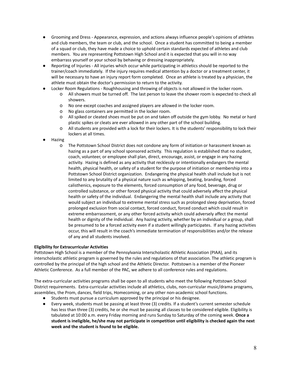- Grooming and Dress Appearance, expression, and actions always influence people's opinions of athletes and club members, the team or club, and the school. Once a student has committed to being a member of a squad or club, they have made a choice to uphold certain standards expected of athletes and club members. You are representing Pottstown High School and it is expected that you will in no way embarrass yourself or your school by behaving or dressing inappropriately.
- Reporting of Injuries All injuries which occur while participating in athletics should be reported to the trainer/coach immediately. If the injury requires medical attention by a doctor or a treatment center, it will be necessary to have an injury report form completed. Once an athlete is treated by a physician, the athlete must obtain the doctor's permission to return to the activity.
- Locker Room Regulations Roughhousing and throwing of objects is not allowed in the locker room.
	- o All showers must be turned off. The last person to leave the shower room is expected to check all showers.
	- o No one except coaches and assigned players are allowed in the locker room.
	- o No glass containers are permitted in the locker room.
	- o All spiked or cleated shoes must be put on and taken off outside the gym lobby. No metal or hard plastic spikes or cleats are ever allowed in any other part of the school building.
	- o All students are provided with a lock for their lockers. It is the students' responsibility to lock their lockers at all times.
- **Hazing** 
	- o The Pottstown School District does not condone any form of initiation or harassment known as hazing as a part of any school sponsored activity. This regulation is established that no student, coach, volunteer, or employee shall plan, direct, encourage, assist, or engage in any hazing activity. Hazing is defined as any activity that recklessly or intentionally endangers the mental health, physical health, or safety of a student for the purpose of initiation or membership into a Pottstown School District organization. Endangering the physical health shall include but is not limited to any brutality of a physical nature such as whipping, beating, branding, forced calisthenics, exposure to the elements, forced consumption of any food, beverage, drug or controlled substance, or other forced physical activity that could adversely affect the physical health or safety of the individual. Endangering the mental health shall include any activity that would subject an individual to extreme mental stress such as prolonged sleep deprivation, forced prolonged exclusion from social contact, forced conduct, forced conduct which could result in extreme embarrassment, or any other forced activity which could adversely affect the mental health or dignity of the individual. Any hazing activity, whether by an individual or a group, shall be presumed to be a forced activity even if a student willingly participates. If any hazing activities occur, this will result in the coach's immediate termination of responsibilities and/or the release of any and all students involved.

#### **Eligibility for Extracurricular Activities**

Pottstown High School is a member of the Pennsylvania Interscholastic Athletic Association (PIAA), and its interscholastic athletic program is governed by the rules and regulations of that association. The athletic program is controlled by the principal of the high school and the Athletic Director. Pottstown is a member of the Pioneer Athletic Conference. As a full member of the PAC, we adhere to all conference rules and regulations.

The extra-curricular activities programs shall be open to all students who meet the following Pottstown School District requirements. Extra-curricular activities include all athletics, clubs, non-curricular music/drama programs, assemblies, the Prom, dances, field trips, Homecoming, or any other non-academic school functions.

- Students must pursue a curriculum approved by the principal or his designee.
- **●** Every week, students must be passing at least three (3) credits. If a student's current semester schedule has less than three (3) credits, he or she must be passing all classes to be considered eligible. Eligibility is tabulated at 10:00 a.m. every Friday morning and runs Sunday to Saturday of the coming week. **Once a student is ineligible, he/she may not participate in competition until eligibility is checked again the next week and the student is found to be eligible.**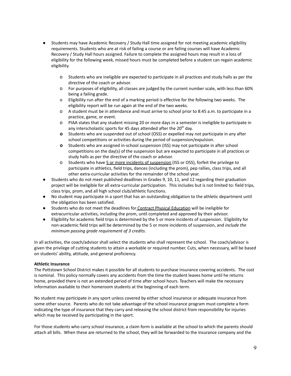- Students may have Academic Recovery / Study Hall time assigned for not meeting academic eligibility requirements. Students who are at risk of failing a course or are failing courses will have Academic Recovery / Study Hall hours assigned. Failure to complete the assigned hours may result in a loss of eligibility for the following week, missed hours must be completed before a student can regain academic eligibility.
	- o Students who are ineligible are expected to participate in all practices and study halls as per the directive of the coach or advisor.
	- o For purposes of eligibility, all classes are judged by the current number scale, with less than 60% being a failing grade.
	- o Eligibility run after the end of a marking period is effective for the following two weeks. The eligibility report will be run again at the end of the two weeks.
	- o A student must be in attendance and must arrive to school prior to 8:45 a.m. to participate in a practice, game, or event.
	- o PIAA states that any student missing 20 or more days in a semester is ineligible to participate in any interscholastic sports for 45 days attended after the 20<sup>th</sup> day.
	- **o** Students who are suspended out of school (OSS) or expelled may not participate in any after school competitions or activities during the period of suspension/expulsion.
	- **o** Students who are assigned in-school suspension (ISS) may not participate in after school competitions on the day(s) of the suspension but are expected to participate in all practices or study halls as per the directive of the coach or advisor.
	- o Students who have 5 or more incidents of suspension (ISS or OSS), forfeit the privilege to participate in athletics, field trips, dances (including the prom), pep rallies, class trips, and all other extra-curricular activities for the remainder of the school year.
- Students who do not meet published deadlines in Grades 9, 10, 11, and 12 regarding their graduation project will be ineligible for all extra-curricular participation. This includes but is not limited to: field trips, class trips, prom, and all high school club/athletic functions.
- No student may participate in a sport that has an outstanding obligation to the athletic department until the obligation has been satisfied.
- Students who do not meet the deadlines for Contract Physical Education will be ineligible for extracurricular activities, including the prom, until completed and approved by their advisor.
- **●** Eligibility for academic field trips is determined by the 5 or more incidents of suspension. Eligibility for non-academic field trips will be determined by the 5 or more incidents of suspension, and *include the minimum passing grade requirement of 3 credits*.

In all activities, the coach/advisor shall select the students who shall represent the school. The coach/advisor is given the privilege of cutting students to attain a workable or required number. Cuts, when necessary, will be based on students' ability, attitude, and general proficiency.

#### **Athletic Insurance**

The Pottstown School District makes it possible for all students to purchase insurance covering accidents. The cost is nominal. This policy normally covers any accidents from the time the student leaves home until he returns home, provided there is not an extended period of time after school hours. Teachers will make the necessary information available to their homeroom students at the beginning of each term.

No student may participate in any sport unless covered by either school insurance or adequate insurance from some other source. Parents who do not take advantage of the school insurance program must complete a form indicating the type of insurance that they carry and releasing the school district from responsibility for injuries which may be received by participating in the sport.

For those students who carry school insurance, a claim form is available at the school to which the parents should attach all bills. When these are returned to the school, they will be forwarded to the insurance company and the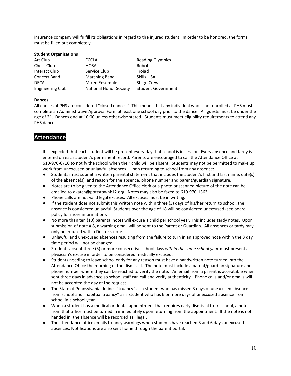insurance company will fulfill its obligations in regard to the injured student. In order to be honored, the forms must be filled out completely.

| <b>Student Organizations</b> |                               |                           |
|------------------------------|-------------------------------|---------------------------|
| Art Club                     | <b>FCCLA</b>                  | <b>Reading Olympics</b>   |
| Chess Club                   | <b>HOSA</b>                   | Robotics                  |
| Interact Club                | Service Club                  | Troiad                    |
| Concert Band                 | Marching Band                 | Skills USA                |
| <b>DECA</b>                  | Mixed Ensemble                | <b>Stage Crew</b>         |
| <b>Engineering Club</b>      | <b>National Honor Society</b> | <b>Student Government</b> |

#### **Dances**

All dances at PHS are considered "closed dances." This means that any individual who is not enrolled at PHS must complete an Administrative Approval Form at least one school day prior to the dance. All guests must be under the age of 21. Dances end at 10:00 unless otherwise stated. Students must meet eligibility requirements to attend any PHS dance.

#### **Attendance**

It is expected that each student will be present every day that school is in session. Every absence and tardy is entered on each student's permanent record. Parents are encouraged to call the Attendance Office at 610-970-6710 to notify the school when their child will be absent. Students may not be permitted to make up work from unexcused or unlawful absences. Upon returning to school from any absence:

- Students must submit a written parental statement that includes the student's first and last name, date(s) of the absence(s), and reason for the absence, phone number and parent/guardian signature.
- Notes are to be given to the Attendance Office clerk or a photo or scanned picture of the note can be emailed to dkatch@pottstownk12.org. Notes may also be faxed to 610-970-1363.
- Phone calls are not valid legal excuses. All excuses must be in writing.
- If the student does not submit this written note within three (3) days of his/her return to school, the absence is considered unlawful. Students over the age of 18 will be considered unexcused (see board policy for more information).
- No more than ten (10) parental notes will excuse a child per school year. This includes tardy notes. Upon submission of note # 8, a warning email will be sent to the Parent or Guardian. All absences or tardy may only be excused with a Doctor's note.
- Unlawful and unexcused absences resulting from the failure to turn in an approved note within the 3 day time period will not be changed.
- Students absent three (3) or more consecutive school days *within the same school year* must present a physician's excuse in order to be considered medically excused.
- Students needing to leave school early for any reason must have a handwritten note turned into the Attendance Office the morning of the dismissal. The note must include a parent/guardian signature and phone number where they can be reached to verify the note. An email from a parent is acceptable when sent three days in advance so school staff can call and verify authenticity. Phone calls and/or emails will not be accepted the day of the request.
- The State of Pennsylvania defines "truancy" as a student who has missed 3 days of unexcused absence from school and "habitual truancy" as a student who has 6 or more days of unexcused absence from school in a school year.
- When a student has a medical or dental appointment that requires early dismissal from school, a note from that office must be turned in immediately upon returning from the appointment. If the note is not handed in, the absence will be recorded as illegal.
- The attendance office emails truancy warnings when students have reached 3 and 6 days unexcused absences. Notifications are also sent home through the parent portal.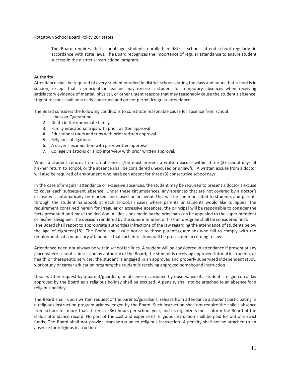Pottstown School Board Policy 204 states:

The Board requires that school age students enrolled in district schools attend school regularly, in accordance with state laws. The Board recognizes the importance of regular attendance to ensure student success in the district's instructional program.

#### **Authority**

Attendance shall be required of every student enrolled in district schools during the days and hours that school is in session, except that a principal or teacher may excuse a student for temporary absences when receiving satisfactory evidence of mental, physical, or other urgent reasons that may reasonably cause the student's absence. Urgent reasons shall be strictly construed and do not permit irregular attendance.

The Board considers the following conditions to constitute reasonable cause for absence from school:

- 1. Illness or Quarantine.
- 2. Death in the immediate family.
- 3. Family educational trips with prior written approval.
- 4. Educational tours and trips with prior written approval.
- 5. Religious obligations.
- 6. A driver's examination with prior written approval.
- 7. College visitations or a job interview with prior written approval.

When a student returns from an absence, s/he must present a written excuse within three (3) school days of his/her return to school, or the absence shall be considered unexcused or unlawful. A written excuse from a doctor will also be required of any student who has been absent for three (3) consecutive school days.

In the case of irregular attendance or excessive absences, the student may be required to present a doctor's excuse to cover each subsequent absence. Under these circumstances, any absences that are not covered by a doctor's excuse will automatically be marked unexcused or unlawful. This will be communicated to students and parents through the student handbook at each school. In cases where parents or students would like to appeal the requirement contained herein for irregular or excessive absences, the principal will be responsible to consider the facts presented and make the decision. All decisions made by the principals can be appealed to the superintendent or his/her designee. The decision rendered by the superintendent or his/her designee shall be considered final. The Board shall report to appropriate authorities infractions of the law regarding the attendance of students below the age of eighteen(18). The Board shall issue notice to those parents/guardians who fail to comply with the requirements of compulsory attendance that such infractions will be prosecuted according to law.

Attendance need not always be within school facilities. A student will be considered in attendance if present at any place where school is in session by authority of the Board; the student is receiving approved tutorial instruction, or health or therapeutic services; the student is engaged in an approved and properly supervised independent study, work-study or career education program; the student is receiving approved homebound instruction.

Upon written request by a parent/guardian, an absence occasioned by observance of a student's religion on a day approved by the Board as a religious holiday shall be excused. A penalty shall not be attached to an absence for a religious holiday.

The Board shall, upon written request of the parents/guardians, release from attendance a student participating in a religious instruction program acknowledged by the Board. Such instruction shall not require the child's absence from school for more than thirty-six (36) hours per school year, and its organizers must inform the Board of the child's attendance record. No part of the cost and expense of religious instruction shall be paid for out of district funds. The Board shall not provide transportation to religious instruction. A penalty shall not be attached to an absence for religious instruction.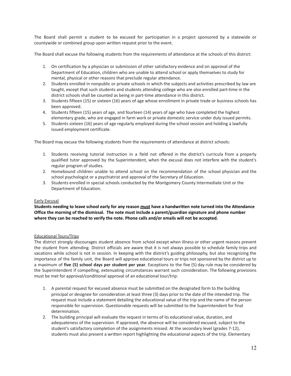The Board shall permit a student to be excused for participation in a project sponsored by a statewide or countywide or combined group upon written request prior to the event.

The Board shall excuse the following students from the requirements of attendance at the schools of this district:

- 1. On certification by a physician or submission of other satisfactory evidence and on approval of the Department of Education, children who are unable to attend school or apply themselves to study for mental, physical or other reasons that preclude regular attendance.
- 2. Students enrolled in nonpublic or private schools in which the subjects and activities prescribed by law are taught, except that such students and students attending college who are also enrolled part-time in the district schools shall be counted as being in part-time attendance in this district.
- 3. Students fifteen (15) or sixteen (16) years of age whose enrollment in private trade or business schools has been approved.
- 4. Students fifteen (15) years of age, and fourteen (14) years of age who have completed the highest elementary grade, who are engaged in farm work or private domestic service under duly issued permits.
- 5. Students sixteen (16) years of age regularly employed during the school session and holding a lawfully issued employment certificate.

The Board may excuse the following students from the requirements of attendance at district schools:

- 1. Students receiving tutorial instruction in a field not offered in the district's curricula from a properly qualified tutor approved by the Superintendent, when the excusal does not interfere with the student's regular program of studies.
- 2. Homebound children unable to attend school on the recommendation of the school physician and the school psychologist or a psychiatrist and approval of the Secretary of Education.
- 3. Students enrolled in special schools conducted by the Montgomery County Intermediate Unit or the Department of Education.

#### Early Excusal

Students needing to leave school early for any reason must have a handwritten note turned into the Attendance **Office the morning of the dismissal. The note must include a parent/guardian signature and phone number where they can be reached to verify the note. Phone calls and/or emails will not be accepted.**

#### Educational Tours/Trips

The district strongly discourages student absence from school except when illness or other urgent reasons prevent the student from attending. District officials are aware that it is not always possible to schedule family trips and vacations while school is not in session. In keeping with the district's guiding philosophy, but also recognizing the importance of the family unit, the Board will approve educational tours or trips not sponsored by the district up to a maximum of **five (5) school days per student per year**. Exceptions to the five (5) day rule may be considered by the Superintendent if compelling, extenuating circumstances warrant such consideration. The following provisions must be met for approval/conditional approval of an educational tour/trip:

- 1. A parental request for excused absence must be submitted on the designated form to the building principal or designee for consideration at least three (3) days prior to the date of the intended trip. The request must include a statement detailing the educational value of the trip and the name of the person responsible for supervision. Questionable requests will be submitted to the Superintendent for final determination.
- 2. The building principal will evaluate the request in terms of its educational value, duration, and adequateness of the supervision. If approved, the absence will be considered excused, subject to the student's satisfactory completion of the assignments missed. At the secondary level (grades 7-12), students must also present a written report highlighting the educational aspects of the trip. Elementary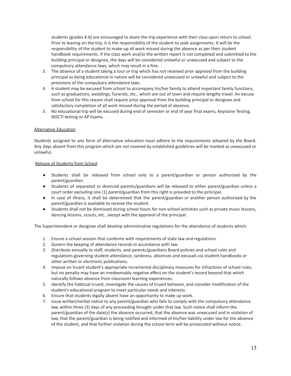students (grades K-6) are encouraged to share the trip experience with their class upon return to school. Prior to leaving on the trip, it is the responsibility of the student to seek assignments. It will be the responsibility of the student to make-up all work missed during the absence as per their student handbook requirements. If the class work and/or the written report is not completed and submitted to the building principal or designee, the days will be considered unlawful or unexcused and subject to the compulsory attendance laws, which may result in a fine.

- 3. The absence of a student taking a tour or trip which has not received prior approval from the building principal as being educational in nature will be considered unexcused or unlawful and subject to the provisions of the compulsory attendance laws.
- 4. A student may be excused from school to accompany his/her family to attend important family functions, such as graduations, weddings, funerals, etc., which are out of town and require lengthy travel. An excuse from school for this reason shall require prior approval from the building principal or designee and satisfactory completion of all work missed during the period of absence.
- 5. No educational trip will be excused during end of semester or end of year final exams, Keystone Testing, NOCTI testing or AP Exams.

#### Alternative Education

Students assigned to any form of alternative education must adhere to the requirements adopted by the Board. Any days absent from this program which are not covered by established guidelines will be marked as unexcused or unlawful.

#### Release of Students from School

- Students shall be released from school only to a parent/guardian or person authorized by the parent/guardian.
- Students of separated or divorced parents/guardians will be released to either parent/guardian unless a court order excluding one (1) parent/guardian from this right is provided to the principal.
- In case of illness, it shall be determined that the parent/guardian or another person authorized by the parent/guardian is available to receive the student.
- Students shall not be dismissed during school hours for non-school activities such as private music lessons, dancing lessons, scouts, etc., except with the approval of the principal.

The Superintendent or designee shall develop administrative regulations for the attendance of students which:

- 1. Ensure a school session that conforms with requirements of state law and regulations.
- 2. Govern the keeping of attendance records in accordance with law.
- 3. Distribute annually to staff, students, and parents/guardians Board policies and school rules and regulations governing student attendance, tardiness, absences and excusals via student handbooks or other written or electronic publications.
- 4. Impose on truant student's appropriate incremental disciplinary measures for infractions of school rules, but no penalty may have an irredeemably negative effect on the student's record beyond that which naturally follows absence from classroom learning experiences.
- 5. Identify the habitual truant, investigate the causes of truant behavior, and consider modification of the student's educational program to meet particular needs and interests.
- 6. Ensure that students legally absent have an opportunity to make up work.
- 7. Issue written/verbal notice to any parent/guardian who fails to comply with the compulsory attendance law, within three (3) days of any proceeding brought under that law. Such notice shall inform the parent/guardian of the date(s) the absence occurred, that the absence was unexcused and in violation of law, that the parent/guardian is being notified and informed of his/her liability under law for the absence of the student, and that further violation during the school term will be prosecuted without notice.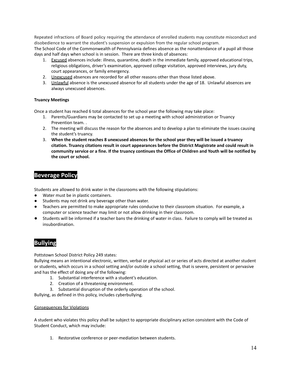Repeated infractions of Board policy requiring the attendance of enrolled students may constitute misconduct and disobedience to warrant the student's suspension or expulsion from the regular school program. The School Code of the Commonwealth of Pennsylvania defines absence as the nonattendance of a pupil all those days and half days when school is in session. There are three kinds of absences:

- 1. Excused absences include: illness, quarantine, death in the immediate family, approved educational trips, religious obligations, driver's examination, approved college visitation, approved interviews, jury duty, court appearances, or family emergency.
- 2. Unexcused absences are recorded for all other reasons other than those listed above.
- 3. Unlawful absence is the unexcused absence for all students under the age of 18. Unlawful absences are always unexcused absences.

#### **Truancy Meetings**

Once a student has reached 6 total absences for the school year the following may take place:

- 1. Parents/Guardians may be contacted to set up a meeting with school administration or Truancy Prevention team. .
- 2. The meeting will discuss the reason for the absences and to develop a plan to eliminate the issues causing the student's truancy.
- 3. **When the student reaches 8 unexcused absences for the school year they will be issued a truancy citation. Truancy citations result in court appearances before the District Magistrate and could result in** community service or a fine. If the truancy continues the Office of Children and Youth will be notified by **the court or school.**

### **Beverage Policy**

Students are allowed to drink water in the classrooms with the following stipulations:

- Water must be in plastic containers.
- Students may not drink any beverage other than water.
- Teachers are permitted to make appropriate rules conducive to their classroom situation. For example, a computer or science teacher may limit or not allow drinking in their classroom.
- Students will be informed if a teacher bans the drinking of water in class. Failure to comply will be treated as insubordination.

## **Bullying**

Pottstown School District Policy 249 states:

Bullying means an intentional electronic, written, verbal or physical act or series of acts directed at another student or students, which occurs in a school setting and/or outside a school setting, that is severe, persistent or pervasive and has the effect of doing any of the following:

- 1. Substantial interference with a student's education.
- 2. Creation of a threatening environment.
- 3. Substantial disruption of the orderly operation of the school.

Bullying, as defined in this policy, includes cyberbullying.

#### Consequences for Violations

A student who violates this policy shall be subject to appropriate disciplinary action consistent with the Code of Student Conduct, which may include:

1. Restorative conference or peer-mediation between students.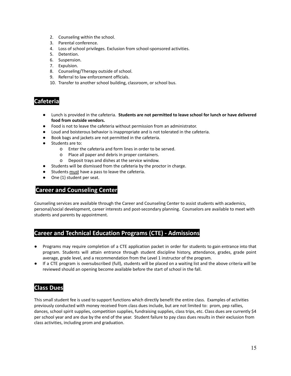- 2. Counseling within the school.
- 3. Parental conference.
- 4. Loss of school privileges. Exclusion from school-sponsored activities.
- 5. Detention.
- 6. Suspension.
- 7. Expulsion.
- 8. Counseling/Therapy outside of school.
- 9. Referral to law enforcement officials.
- 10. Transfer to another school building, classroom, or school bus.

### **Cafeteria**

- **●** Lunch is provided in the cafeteria. **Students are not permitted to leave school for lunch or have delivered food from outside vendors.**
- Food is not to leave the cafeteria without permission from an administrator.
- Loud and boisterous behavior is inappropriate and is not tolerated in the cafeteria.
- Book bags and jackets are not permitted in the cafeteria.
- Students are to:
	- o Enter the cafeteria and form lines in order to be served.
	- o Place all paper and debris in proper containers.
	- o Deposit trays and dishes at the service window.
- Students will be dismissed from the cafeteria by the proctor in charge.
- Students must have a pass to leave the cafeteria.
- One (1) student per seat.

#### **Career and Counseling Center**

Counseling services are available through the Career and Counseling Center to assist students with academics, personal/social development, career interests and post-secondary planning. Counselors are available to meet with students and parents by appointment.

#### **Career and Technical Education Programs (CTE) - Admissions**

- Programs may require completion of a CTE application packet in order for students to gain entrance into that program. Students will attain entrance through student discipline history, attendance, grades, grade point average, grade level, and a recommendation from the Level 1 instructor of the program.
- If a CTE program is oversubscribed (full), students will be placed on a waiting list and the above criteria will be reviewed should an opening become available before the start of school in the fall.

#### **Class Dues**

This small student fee is used to support functions which directly benefit the entire class. Examples of activities previously conducted with money received from class dues include, but are not limited to: prom, pep rallies, dances, school spirit supplies, competition supplies, fundraising supplies, class trips, etc. Class dues are currently \$4 per school year and are due by the end of the year. Student failure to pay class dues results in their exclusion from class activities, including prom and graduation.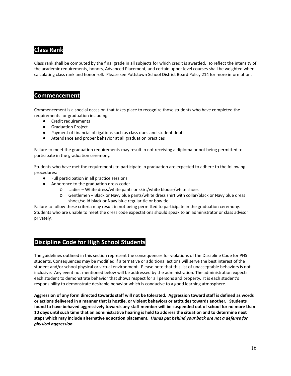## **Class Rank**

Class rank shall be computed by the final grade in all subjects for which credit is awarded. To reflect the intensity of the academic requirements, honors, Advanced Placement, and certain upper level courses shall be weighted when calculating class rank and honor roll. Please see Pottstown School District Board Policy 214 for more information.

#### **Commencement**

Commencement is a special occasion that takes place to recognize those students who have completed the requirements for graduation including:

- Credit requirements
- Graduation Project
- Payment of financial obligations such as class dues and student debts
- Attendance and proper behavior at all graduation practices

Failure to meet the graduation requirements may result in not receiving a diploma or not being permitted to participate in the graduation ceremony.

Students who have met the requirements to participate in graduation are expected to adhere to the following procedures:

- Full participation in all practice sessions
- Adherence to the graduation dress code:
	- o Ladies White dress/white pants or skirt/white blouse/white shoes
	- o Gentlemen Black or Navy blue pants/white dress shirt with collar/black or Navy blue dress shoes/solid black or Navy blue regular tie or bow tie

Failure to follow these criteria may result in not being permitted to participate in the graduation ceremony. Students who are unable to meet the dress code expectations should speak to an administrator or class advisor privately.

## **Discipline Code for High School Students**

The guidelines outlined in this section represent the consequences for violations of the Discipline Code for PHS students. Consequences may be modified if alternative or additional actions will serve the best interest of the student and/or school physical or virtual environment. Please note that this list of unacceptable behaviors is not inclusive. Any event not mentioned below will be addressed by the administration. The administration expects each student to demonstrate behavior that shows respect for all persons and property. It is each student's responsibility to demonstrate desirable behavior which is conducive to a good learning atmosphere.

Aggression of any form directed towards staff will not be tolerated. Aggression toward staff is defined as words or actions delivered in a manner that is hostile, or violent behaviors or attitudes towards another. Students found to have behaved aggressively towards any staff member will be suspended out of school for no more than 10 days until such time that an administrative hearing is held to address the situation and to determine next steps which may include alternative education placement. Hands put behind your back are not a defense for *physical aggression.*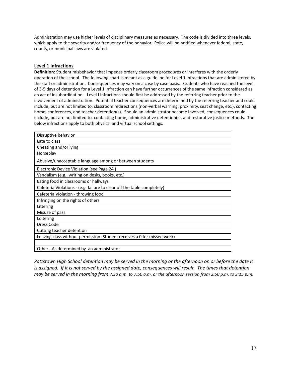Administration may use higher levels of disciplinary measures as necessary. The code is divided into three levels, which apply to the severity and/or frequency of the behavior. Police will be notified whenever federal, state, county, or municipal laws are violated.

#### **Level 1 Infractions**

**Definition:** Student misbehavior that impedes orderly classroom procedures or interferes with the orderly operation of the school. The following chart is meant as a guideline for Level 1 infractions that are administered by the staff or administration. Consequences may vary on a case by case basis. Students who have reached the level of 3-5 days of detention for a Level 1 infraction can have further occurrences of the same infraction considered as an act of insubordination. Level I infractions should first be addressed by the referring teacher prior to the involvement of administration. Potential teacher consequences are determined by the referring teacher and could include, but are not limited to, classroom redirections (non-verbal warning, proximity, seat change, etc.), contacting home, conferences, and teacher detention(s). Should an administrator become involved, consequences could include, but are not limited to, contacting home, administrative detention(s), and restorative justice methods. The below infractions apply to both physical and virtual school settings.

| Disruptive behavior                                                     |
|-------------------------------------------------------------------------|
| Late to class                                                           |
| Cheating and/or lying                                                   |
| Horseplay                                                               |
| Abusive/unacceptable language among or between students                 |
| Electronic Device Violation (see Page 24)                               |
| Vandalism (e.g., writing on desks, books, etc.)                         |
| Eating food in classrooms or hallways                                   |
| Cafeteria Violations - (e.g. failure to clear off the table completely) |
| Cafeteria Violation - throwing food                                     |
| Infringing on the rights of others                                      |
| Littering                                                               |
| Misuse of pass                                                          |
| Loitering                                                               |
| Dress Code                                                              |
| Cutting teacher detention                                               |
| Leaving class without permission (Student receives a 0 for missed work) |
|                                                                         |
| Other - As determined by an administrator                               |

Pottstown High School detention may be served in the morning or the afternoon on or before the date it is assigned. If it is not served by the assigned date, consequences will result. The times that detention may be served in the morning from 7:30 a.m. to 7:50 a.m. or the afternoon session from 2:50 p.m. to 3:15 p.m.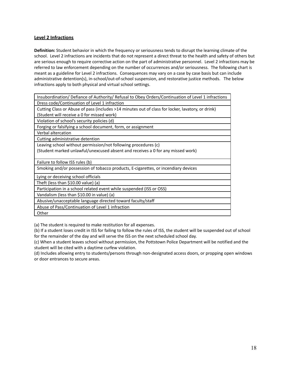#### **Level 2 Infractions**

**Definition:** Student behavior in which the frequency or seriousness tends to disrupt the learning climate of the school. Level 2 infractions are incidents that do not represent a direct threat to the health and safety of others but are serious enough to require corrective action on the part of administrative personnel. Level 2 infractions may be referred to law enforcement depending on the number of occurrences and/or seriousness. The following chart is meant as a guideline for Level 2 infractions. Consequences may vary on a case by case basis but can include administrative detention(s), in-school/out-of-school suspension, and restorative justice methods. The below infractions apply to both physical and virtual school settings.

| Insubordination/ Defiance of Authority/ Refusal to Obey Orders/Continuation of Level 1 infractions |
|----------------------------------------------------------------------------------------------------|
| Dress code/Continuation of Level 1 infraction                                                      |
| Cutting Class or Abuse of pass (includes >14 minutes out of class for locker, lavatory, or drink)  |
| (Student will receive a 0 for missed work)                                                         |
| Violation of school's security policies (d)                                                        |
| Forging or falsifying a school document, form, or assignment                                       |
| Verbal altercation                                                                                 |
| Cutting administrative detention                                                                   |
| Leaving school without permission/not following procedures (c)                                     |
| (Student marked unlawful/unexcused absent and receives a 0 for any missed work)                    |
| Failure to follow ISS rules (b)                                                                    |
| Smoking and/or possession of tobacco products, E-cigarettes, or incendiary devices                 |
| Lying or deceiving school officials                                                                |
| Theft (less than \$10.00 value) (a)                                                                |
| Participation in a school related event while suspended (ISS or OSS)                               |
| Vandalism (less than \$10.00 in value) (a)                                                         |
| Abusive/unacceptable language directed toward faculty/staff                                        |
| Abuse of Pass/Continuation of Level 1 infraction                                                   |
| Other                                                                                              |
|                                                                                                    |

(a) The student is required to make restitution for all expenses.

(b) If a student loses credit in ISS for failing to follow the rules of ISS, the student will be suspended out of school for the remainder of the day and will serve the ISS on the next scheduled school day.

(c) When a student leaves school without permission, the Pottstown Police Department will be notified and the student will be cited with a daytime curfew violation.

(d) Includes allowing entry to students/persons through non-designated access doors, or propping open windows or door entrances to secure areas.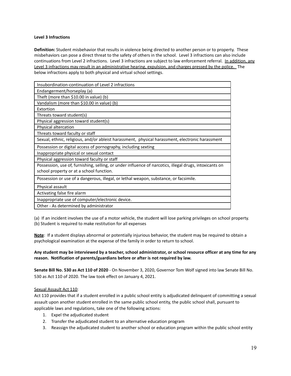#### **Level 3 Infractions**

**Definition:** Student misbehavior that results in violence being directed to another person or to property. These misbehaviors can pose a direct threat to the safety of others in the school. Level 3 infractions can also include continuations from Level 2 infractions. Level 3 infractions are subject to law enforcement referral. In addition, any Level 3 infractions may result in an administrative hearing, expulsion, and charges pressed by the police. The below infractions apply to both physical and virtual school settings.

| Insubordination-continuation of Level 2 infractions                                                     |
|---------------------------------------------------------------------------------------------------------|
| Endangerment/horseplay (a)                                                                              |
| Theft (more than \$10.00 in value) (b)                                                                  |
| Vandalism (more than \$10.00 in value) (b)                                                              |
| Extortion                                                                                               |
| Threats toward student(s)                                                                               |
| Physical aggression toward student(s)                                                                   |
| Physical altercation                                                                                    |
| Threats toward faculty or staff                                                                         |
| Sexual, ethnic, religious, and/or ableist harassment, physical harassment, electronic harassment        |
| Possession or digital access of pornography, including sexting                                          |
| Inappropriate physical or sexual contact                                                                |
| Physical aggression toward faculty or staff                                                             |
| Possession, use of, furnishing, selling, or under influence of narcotics, illegal drugs, intoxicants on |
| school property or at a school function.                                                                |
| Possession or use of a dangerous, illegal, or lethal weapon, substance, or facsimile.                   |
| Physical assault                                                                                        |
| Activating false fire alarm                                                                             |
| Inappropriate use of computer/electronic device.                                                        |
| Other - As determined by administrator                                                                  |

(a) If an incident involves the use of a motor vehicle, the student will lose parking privileges on school property. (b) Student is required to make restitution for all expenses

**Note**: If a student displays abnormal or potentially injurious behavior, the student may be required to obtain a psychological examination at the expense of the family in order to return to school.

#### Any student may be interviewed by a teacher, school administrator, or school resource officer at any time for any **reason. Notification of parents/guardians before or after is not required by law.**

**Senate Bill No. 530 as Act 110 of 2020** - On November 3, 2020, Governor Tom Wolf signed into law Senate Bill No. 530 as Act 110 of 2020. The law took effect on January 4, 2021.

#### Sexual Assault Act 110:

Act 110 provides that if a student enrolled in a public school entity is adjudicated delinquent of committing a sexual assault upon another student enrolled in the same public school entity, the public school shall, pursuant to applicable laws and regulations, take one of the following actions:

- 1. Expel the adjudicated student
- 2. Transfer the adjudicated student to an alternative education program
- 3. Reassign the adjudicated student to another school or education program within the public school entity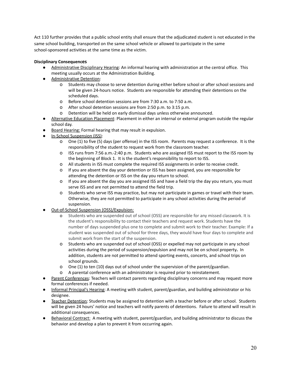Act 110 further provides that a public school entity shall ensure that the adjudicated student is not educated in the same school building, transported on the same school vehicle or allowed to participate in the same school-sponsored activities at the same time as the victim.

#### **Disciplinary Consequences**

- Administrative Disciplinary Hearing: An informal hearing with administration at the central office. This meeting usually occurs at the Administration Building.
- Administrative Detention:
	- o Students may choose to serve detention during either before school or after school sessions and will be given 24-hours notice. Students are responsible for attending their detentions on the scheduled days.
	- o Before school detention sessions are from 7:30 a.m. to 7:50 a.m.
	- o After school detention sessions are from 2:50 p.m. to 3:15 p.m.
	- o Detention will be held on early dismissal days unless otherwise announced.
- Alternative Education Placement: Placement in either an internal or external program outside the regular school day.
- Board Hearing: Formal hearing that may result in expulsion.
- In-School Suspension (ISS):
	- o One (1) to five (5) days (per offense) in the ISS room. Parents may request a conference. It is the responsibility of the student to request work from the classroom teacher.
	- o ISS runs from 7:56 a.m.-2:40 p.m. Students who are assigned ISS must report to the ISS room by the beginning of Block 1. It is the student's responsibility to report to ISS.
	- o All students in ISS must complete the required ISS assignments in order to receive credit.
	- o If you are absent the day your detention or ISS has been assigned, you are responsible for attending the detention or ISS on the day you return to school.
	- o If you are absent the day you are assigned ISS and have a field trip the day you return, you must serve ISS and are not permitted to attend the field trip.
	- o Students who serve ISS may practice, but may not participate in games or travel with their team. Otherwise, they are not permitted to participate in any school activities during the period of suspension.
- **Out-of-School Suspension (OSS)/Expulsion:** 
	- o Students who are suspended out of school (OSS) are responsible for any missed classwork. It is the student's responsibility to contact their teachers and request work. Students have the number of days suspended plus one to complete and submit work to their teacher. Example: If a student was suspended out of school for three days, they would have four days to complete and submit work from the start of the suspension.
	- o Students who are suspended out of school (OSS) or expelled may not participate in any school activities during the period of suspension/expulsion and may not be on school property**.** In addition, students are not permitted to attend sporting events, concerts, and school trips on school grounds.
	- o One (1) to ten (10) days out of school under the supervision of the parent/guardian.
	- o A parental conference with an administrator is required prior to reinstatement.
- Parent Conferences: Teachers will contact parents regarding disciplinary concerns and may request more formal conferences if needed.
- Informal Principal's Hearing: A meeting with student, parent/guardian, and building administrator or his designee.
- Teacher Detention: Students may be assigned to detention with a teacher before or after school. Students will be given 24 hours' notice and teachers will notify parents of detentions. Failure to attend will result in additional consequences.
- Behavioral Contract: A meeting with student, parent/guardian, and building administrator to discuss the behavior and develop a plan to prevent it from occurring again.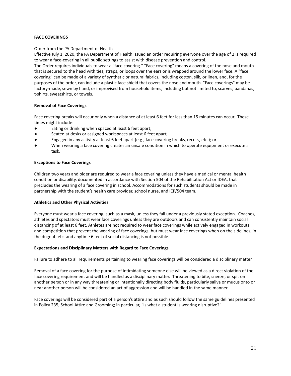#### **FACE COVERINGS**

#### Order from the PA Department of Health

Effective July 1, 2020, the PA Department of Health issued an order requiring everyone over the age of 2 is required to wear a face-covering in all public settings to assist with disease prevention and control.

The Order requires individuals to wear a "face covering." "Face covering" means a covering of the nose and mouth that is secured to the head with ties, straps, or loops over the ears or is wrapped around the lower face. A "face covering" can be made of a variety of synthetic or natural fabrics, including cotton, silk, or linen, and, for the purposes of the order, can include a plastic face shield that covers the nose and mouth. "Face coverings" may be factory-made, sewn by hand, or improvised from household items, including but not limited to, scarves, bandanas, t-shirts, sweatshirts, or towels.

#### **Removal of Face Coverings**

Face covering breaks will occur only when a distance of at least 6 feet for less than 15 minutes can occur. These times might include:

- Eating or drinking when spaced at least 6 feet apart;
- Seated at desks or assigned workspaces at least 6 feet apart;
- Engaged in any activity at least 6 feet apart (e.g., face covering breaks, recess, etc.); or
- When wearing a face covering creates an unsafe condition in which to operate equipment or execute a task.

#### **Exceptions to Face Coverings**

Children two years and older are required to wear a face covering unless they have a medical or mental health condition or disability, documented in accordance with Section 504 of the Rehabilitation Act or IDEA, that precludes the wearing of a face covering in school. Accommodations for such students should be made in partnership with the student's health care provider, school nurse, and IEP/504 team.

#### **Athletics and Other Physical Activities**

Everyone must wear a face covering, such as a mask, unless they fall under a previously stated exception. Coaches, athletes and spectators must wear face coverings unless they are outdoors and can consistently maintain social distancing of at least 6 feet. Athletes are not required to wear face coverings while actively engaged in workouts and competition that prevent the wearing of face coverings, but must wear face coverings when on the sidelines, in the dugout, etc. and anytime 6 feet of social distancing is not possible.

#### **Expectations and Disciplinary Matters with Regard to Face Coverings**

Failure to adhere to all requirements pertaining to wearing face coverings will be considered a disciplinary matter.

Removal of a face covering for the purpose of intimidating someone else will be viewed as a direct violation of the face covering requirement and will be handled as a disciplinary matter. Threatening to bite, sneeze, or spit on another person or in any way threatening or intentionally directing body fluids, particularly saliva or mucus onto or near another person will be considered an act of aggression and will be handled in the same manner.

Face coverings will be considered part of a person's attire and as such should follow the same guidelines presented in Policy 235, School Attire and Grooming; in particular, "Is what a student is wearing disruptive?"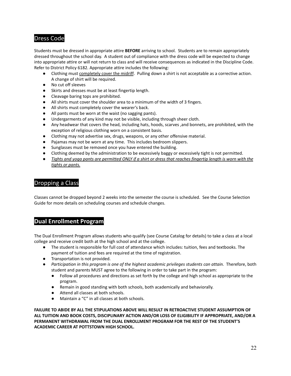## Dress Code

Students must be dressed in appropriate attire **BEFORE** arriving to school. Students are to remain appropriately dressed throughout the school day. A student out of compliance with the dress code will be expected to change into appropriate attire or will not return to class and will receive consequences as indicated in the Discipline Code. Refer to District Policy 6182. Appropriate attire includes the following:

- Clothing must completely cover the midriff. Pulling down a shirt is not acceptable as a corrective action. A change of shirt will be required.
- No cut off sleeves
- Skirts and dresses must be at least fingertip length.
- Cleavage baring tops are prohibited.
- All shirts must cover the shoulder area to a minimum of the width of 3 fingers.
- All shirts must completely cover the wearer's back.
- All pants must be worn at the waist (no sagging pants).
- Undergarments of any kind may not be visible, including through sheer cloth.
- Any headwear that covers the head, including hats, hoods, scarves ,and bonnets, are prohibited, with the exception of religious clothing worn on a consistent basis.
- Clothing may not advertise sex, drugs, weapons, or any other offensive material.
- Pajamas may not be worn at any time. This includes bedroom slippers.
- Sunglasses must be removed once you have entered the building.
- Clothing deemed by the administration to be excessively baggy or excessively tight is not permitted.
- Tights and yoga pants are permitted ONLY if a shirt or dress that reaches fingertip length is worn with the *tights or pants.*

#### Dropping a Class

Classes cannot be dropped beyond 2 weeks into the semester the course is scheduled. See the Course Selection Guide for more details on scheduling courses and schedule changes.

#### **Dual Enrollment Program**

The Dual Enrollment Program allows students who qualify (see Course Catalog for details) to take a class at a local college and receive credit both at the high school and at the college.

- The student is responsible for full cost of attendance which includes: tuition, fees and textbooks. The payment of tuition and fees are required at the time of registration.
- Transportation is not provided.
- *Participation in this program is one of the highest academic privileges students can attain.* Therefore, both student and parents MUST agree to the following in order to take part in the program:
	- Follow all procedures and directions as set forth by the college and high school as appropriate to the program.
	- Remain in good standing with both schools, both academically and behaviorally.
	- Attend all classes at both schools.
	- Maintain a "C" in all classes at both schools.

**FAILURE TO ABIDE BY ALL THE STIPULATIONS ABOVE WILL RESULT IN RETROACTIVE STUDENT ASSUMPTION OF ALL TUITION AND BOOK COSTS, DISCIPLINARY ACTION AND/OR LOSS OF ELIGIBILITY IF APPROPRIATE, AND/OR A PERMANENT WITHDRAWAL FROM THE DUAL ENROLLMENT PROGRAM FOR THE REST OF THE STUDENT'S ACADEMIC CAREER AT POTTSTOWN HIGH SCHOOL.**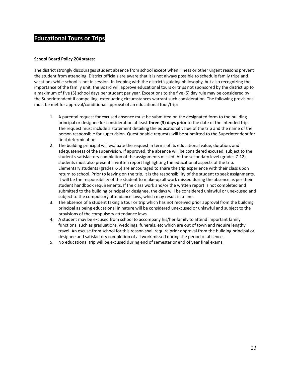#### **Educational Tours or Trips**

#### **School Board Policy 204 states:**

The district strongly discourages student absence from school except when illness or other urgent reasons prevent the student from attending. District officials are aware that it is not always possible to schedule family trips and vacations while school is not in session. In keeping with the district's guiding philosophy, but also recognizing the importance of the family unit, the Board will approve educational tours or trips not sponsored by the district up to a maximum of five (5) school days per student per year. Exceptions to the five (5) day rule may be considered by the Superintendent if compelling, extenuating circumstances warrant such consideration. The following provisions must be met for approval/conditional approval of an educational tour/trip:

- 1. A parental request for excused absence must be submitted on the designated form to the building principal or designee for consideration at least **three (3) days prior** to the date of the intended trip. The request must include a statement detailing the educational value of the trip and the name of the person responsible for supervision. Questionable requests will be submitted to the Superintendent for final determination.
- 2. The building principal will evaluate the request in terms of its educational value, duration, and adequateness of the supervision. If approved, the absence will be considered excused, subject to the student's satisfactory completion of the assignments missed. At the secondary level (grades 7-12), students must also present a written report highlighting the educational aspects of the trip. Elementary students (grades K-6) are encouraged to share the trip experience with their class upon return to school. Prior to leaving on the trip, it is the responsibility of the student to seek assignments. It will be the responsibility of the student to make-up all work missed during the absence as per their student handbook requirements. If the class work and/or the written report is not completed and submitted to the building principal or designee, the days will be considered unlawful or unexcused and subject to the compulsory attendance laws, which may result in a fine.
- 3. The absence of a student taking a tour or trip which has not received prior approval from the building principal as being educational in nature will be considered unexcused or unlawful and subject to the provisions of the compulsory attendance laws.
- 4. A student may be excused from school to accompany his/her family to attend important family functions, such as graduations, weddings, funerals, etc which are out of town and require lengthy travel. An excuse from school for this reason shall require prior approval from the building principal or designee and satisfactory completion of all work missed during the period of absence.
- 5. No educational trip will be excused during end of semester or end of year final exams.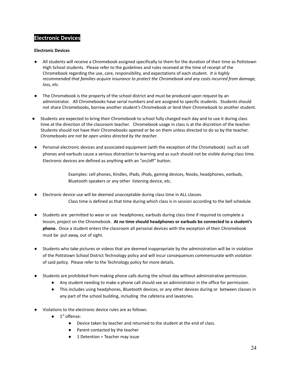#### **Electronic Devices**

#### **Electronic Devices**

- All students will receive a Chromebook assigned specifically to them for the duration of their time as Pottstown High School students. Please refer to the guidelines and rules received at the time of receipt of the Chromebook regarding the use, care, responsibility, and expectations of each student. *It is highly recommended that families acquire insurance to protect the Chromebook and any costs incurred from damage, loss, etc.*
- The Chromebook is the property of the school district and must be produced upon request by an administrator. All Chromebooks have serial numbers and are assigned to specific students. Students should not share Chromebooks, borrow another student's Chromebook or lend their Chromebook to another student.
- **●** Students are expected to bring their Chromebook to school fully charged each day and to use it during class time at the direction of the classroom teacher. Chromebook usage in class is at the discretion of the teacher. Students should not have their Chromebooks opened or be on them unless directed to do so by the teacher*. Chromebooks are not be open unless directed by the teacher.*
- Personal electronic devices and associated equipment (with the exception of the Chromebook) such as cell phones and earbuds cause a serious distraction to learning and as such should not be visible during class time. Electronic devices are defined as anything with an "on/off" button.

Examples: cell phones, Kindles, iPads, iPods, gaming devices, Nooks, headphones, *earbuds,* Bluetooth speakers or any other listening device, etc.

- Electronic device use will be deemed unacceptable during class time in ALL classes. Class time is defined as that time during which class is in session according to the bell schedule.
- Students are permitted to wear or use headphones, earbuds during class time if required to complete a lesson, project on the Chromebook. **At no time should headphones or earbuds be connected to a student's phone.** Once a student enters the classroom all personal devices with the exception of their Chromebook must be put away, out of sight.
- Students who take pictures or videos that are deemed inappropriate by the administration will be in violation of the Pottstown School District Technology policy and will incur consequences commensurate with violation of said policy. Please refer to the Technology policy for more details.
- Students are prohibited from making phone calls during the school day without administrative permission.
	- Any student needing to make a phone call should see an administrator in the office for permission.
	- This includes using headphones, Bluetooth devices, or any other devices during or between classes in any part of the school building, including the cafeteria and lavatories.
- Violations to the electronic device rules are as follows:
	- $\bullet$  1<sup>st</sup> offense:
		- Device taken by teacher and returned to the student at the end of class.
		- Parent contacted by the teacher
		- 1 Detention = Teacher may issue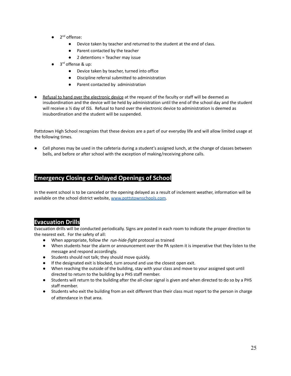- $\bullet$  2<sup>nd</sup> offense:
	- Device taken by teacher and returned to the student at the end of class.
	- Parent contacted by the teacher
	- 2 detentions = Teacher may issue
- 3<sup>rd</sup> offense & up:
	- Device taken by teacher, turned into office
	- Discipline referral submitted to administration
	- Parent contacted by administration
- Refusal to hand over the electronic device at the request of the faculty or staff will be deemed as insubordination and the device will be held by administration until the end of the school day and the student will receive a  $\frac{1}{2}$  day of ISS. Refusal to hand over the electronic device to administration is deemed as insubordination and the student will be suspended.

Pottstown High School recognizes that these devices are a part of our everyday life and will allow limited usage at the following times.

**●** Cell phones may be used in the cafeteria during a student's assigned lunch, at the change of classes between bells, and before or after school with the exception of making/receiving phone calls.

## **Emergency Closing or Delayed Openings of School**

In the event school is to be canceled or the opening delayed as a result of inclement weather, information will be available on the school district website, [www.pottstownschools.com.](http://www.pottstownschools.com)

## **Evacuation Drills**

Evacuation drills will be conducted periodically. Signs are posted in each room to indicate the proper direction to the nearest exit. For the safety of all:

- When appropriate, follow *the run-hide-fight* protocol as trained
- When students hear the alarm or announcement over the PA system it is imperative that they listen to the message and respond accordingly.
- Students should not talk; they should move quickly.
- If the designated exit is blocked, turn around and use the closest open exit.
- When reaching the outside of the building, stay with your class and move to your assigned spot until directed to return to the building by a PHS staff member.
- Students will return to the building after the all-clear signal is given and when directed to do so by a PHS staff member.
- Students who exit the building from an exit different than their class must report to the person in charge of attendance in that area.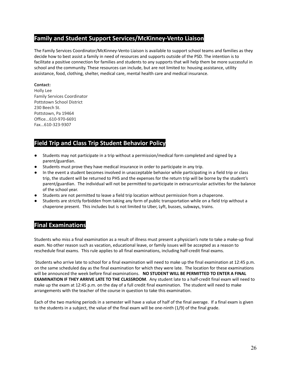## **Family and Student Support Services/McKinney-Vento Liaison**

The Family Services Coordinator/McKinney-Vento Liaison is available to support school teams and families as they decide how to best assist a family in need of resources and supports outside of the PSD. The intention is to facilitate a positive connection for families and students to any supports that will help them be more successful in school and the community. These resources can include, but are not limited to: housing assistance, utility assistance, food, clothing, shelter, medical care, mental health care and medical insurance.

#### **Contact:**

Holly Lee Family Services Coordinator Pottstown School District 230 Beech St. Pottstown, Pa 19464 Office...610-970-6691 Fax...610-323-9307

## **Field Trip and Class Trip Student Behavior Policy**

- Students may not participate in a trip without a permission/medical form completed and signed by a parent/guardian.
- Students must prove they have medical insurance in order to participate in any trip.
- In the event a student becomes involved in unacceptable behavior while participating in a field trip or class trip, the student will be returned to PHS and the expenses for the return trip will be borne by the student's parent/guardian. The individual will not be permitted to participate in extracurricular activities for the balance of the school year.
- Students are not permitted to leave a field trip location without permission from a chaperone.
- Students are strictly forbidden from taking any form of public transportation while on a field trip without a chaperone present. This includes but is not limited to Uber, Lyft, busses, subways, trains.

## **Final Examinations**

Students who miss a final examination as a result of illness must present a physician's note to take a make-up final exam. No other reason such as vacation, educational leave, or family issues will be accepted as a reason to reschedule final exams. This rule applies to all final examinations, including half-credit final exams.

Students who arrive late to school for a final examination will need to make up the final examination at 12:45 p.m. on the same scheduled day as the final examination for which they were late. The location for these examinations will be announced the week before final examinations. **NO STUDENT WILL BE PERMITTED TO ENTER A FINAL EXAMINATION IF THEY ARRIVE LATE TO THE CLASSROOM**. Any student late to a half-credit final exam will need to make up the exam at 12:45 p.m. on the day of a full credit final examination. The student will need to make arrangements with the teacher of the course in question to take this examination.

Each of the two marking periods in a semester will have a value of half of the final average. If a final exam is given to the students in a subject, the value of the final exam will be one-ninth (1/9) of the final grade.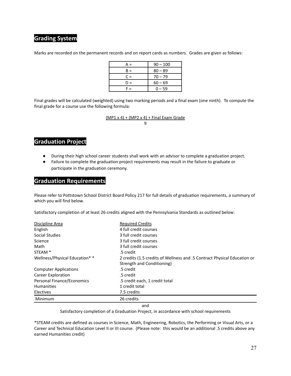## **Grading System**

Marks are recorded on the permanent records and on report cards as numbers. Grades are given as follows:

| $A =$ | $90 - 100$ |
|-------|------------|
| $B =$ | $80 - 89$  |
| $C =$ | $70 - 79$  |
| D =   | $60 - 69$  |
| F =   | $0 - 59$   |

Final grades will be calculated (weighted) using two marking periods and a final exam (one ninth). To compute the final grade for a course use the following formula:

> (MP1 x 4) + (MP2 x 4) + Final Exam Grade 9

## **Graduation Project**

- During their high school career students shall work with an advisor to complete a graduation project.
- Failure to complete the graduation project requirements may result in the failure to graduate or participate in the graduation ceremony.

#### **Graduation Requirements**

Please refer to Pottstown School District Board Policy 217 for full details of graduation requirements, a summary of which you will find below.

Satisfactory completion of at least 26 credits aligned with the Pennsylvania Standards as outlined below:

| Discipline Area                | <b>Required Credits</b>                                                  |
|--------------------------------|--------------------------------------------------------------------------|
| English                        | 4 full credit courses                                                    |
| Social Studies                 | 3 full credit courses                                                    |
| Science                        | 3 full credit courses                                                    |
| Math                           | 3 full credit courses                                                    |
| STEAM <sup>*</sup>             | .5 credit                                                                |
| Wellness/Physical Education* * | 2 credits (1.5 credits of Wellness and .5 Contract Physical Education or |
|                                | Strength and Conditioning)                                               |
| <b>Computer Applications</b>   | .5 credit                                                                |
| Career Exploration             | .5 credit                                                                |
| Personal Finance/Economics     | .5 credit each, 1 credit total                                           |
| <b>Humanities</b>              | 1 credit total                                                           |
| Electives                      | 7.5 credits                                                              |
| Minimum                        | 26 credits                                                               |

and

Satisfactory completion of a Graduation Project, in accordance with school requirements

\*STEAM credits are defined as courses in Science, Math, Engineering, Robotics, the Performing or Visual Arts, or a Career and Technical Education Level II or III course. (Please note: this would be an additional .5 credits above any earned Humanities credit)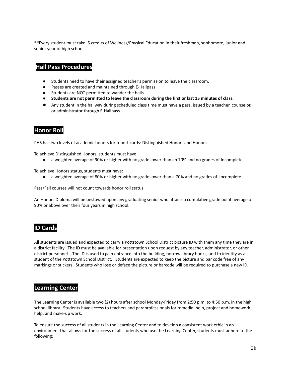**\*\***Every student must take .5 credits of Wellness/Physical Education in their freshman, sophomore, junior and senior year of high school.

## **Hall Pass Procedures**

- **●** Students need to have their assigned teacher's permission to leave the classroom.
- **●** Passes are created and maintained through E-Hallpass
- **●** Students are NOT permitted to wander the halls
- **● Students are not permitted to leave the classroom during the first or last 15 minutes of class.**
- **●** Any student in the hallway during scheduled class time must have a pass, issued by a teacher, counselor, or administrator through E-Hallpass.

### **Honor Roll**

PHS has two levels of academic honors for report cards: Distinguished Honors and Honors.

To achieve Distinguished Honors, students must have:

● a weighted average of 90% or higher with no grade lower than an 70% and no grades of Incomplete

To achieve Honors status, students must have:

● a weighted average of 80% or higher with no grade lower than a 70% and no grades of Incomplete

Pass/Fail courses will not count towards honor roll status.

An Honors Diploma will be bestowed upon any graduating senior who attains a cumulative grade point average of 90% or above over their four years in high school.

#### **ID Cards**

All students are issued and expected to carry a Pottstown School District picture ID with them any time they are in a district facility. The ID must be available for presentation upon request by any teacher, administrator, or other district personnel. The ID is used to gain entrance into the building, borrow library books, and to identify as a student of the Pottstown School District. Students are expected to keep the picture and bar code free of any markings or stickers. Students who lose or deface the picture or barcode will be required to purchase a new ID.

#### **Learning Center**

The Learning Center is available two (2) hours after school Monday-Friday from 2:50 p.m. to 4:50 p.m. in the high school library. Students have access to teachers and paraprofessionals for remedial help, project and homework help, and make-up work.

To ensure the success of all students in the Learning Center and to develop a consistent work ethic in an environment that allows for the success of all students who use the Learning Center, students must adhere to the following: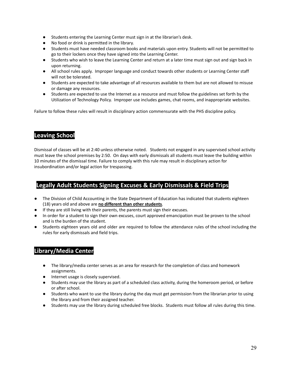- Students entering the Learning Center must sign in at the librarian's desk.
- No food or drink is permitted in the library.
- Students must have needed classroom books and materials upon entry. Students will not be permitted to go to their lockers once they have signed into the Learning Center.
- Students who wish to leave the Learning Center and return at a later time must sign out and sign back in upon returning.
- All school rules apply. Improper language and conduct towards other students or Learning Center staff will not be tolerated.
- Students are expected to take advantage of all resources available to them but are not allowed to misuse or damage any resources.
- Students are expected to use the Internet as a resource and must follow the guidelines set forth by the Utilization of Technology Policy. Improper use includes games, chat rooms, and inappropriate websites.

Failure to follow these rules will result in disciplinary action commensurate with the PHS discipline policy.

### **Leaving School**

Dismissal of classes will be at 2:40 unless otherwise noted. Students not engaged in any supervised school activity must leave the school premises by 2:50. On days with early dismissals all students must leave the building within 10 minutes of the dismissal time. Failure to comply with this rule may result in disciplinary action for insubordination and/or legal action for trespassing.

#### **Legally Adult Students Signing Excuses & Early Dismissals & Field Trips**

- The Division of Child Accounting in the State Department of Education has indicated that students eighteen (18) years old and above are **no different than other students**.
- If they are still living with their parents, the parents must sign their excuses.
- In order for a student to sign their own excuses, court approved emancipation must be proven to the school and is the burden of the student.
- Students eighteen years old and older are required to follow the attendance rules of the school including the rules for early dismissals and field trips.

## **Library/Media Center**

- The library/media center serves as an area for research for the completion of class and homework assignments.
- Internet usage is closely supervised.
- Students may use the library as part of a scheduled class activity, during the homeroom period, or before or after school.
- Students who want to use the library during the day must get permission from the librarian prior to using the library and from their assigned teacher.
- Students may use the library during scheduled free blocks. Students must follow all rules during this time.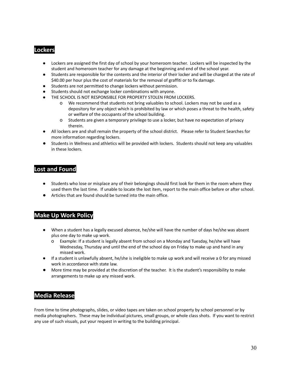#### **Lockers**

- Lockers are assigned the first day of school by your homeroom teacher. Lockers will be inspected by the student and homeroom teacher for any damage at the beginning and end of the school year.
- Students are responsible for the contents and the interior of their locker and will be charged at the rate of \$40.00 per hour plus the cost of materials for the removal of graffiti or to fix damage.
- Students are not permitted to change lockers without permission.
- Students should not exchange locker combinations with anyone.
- THE SCHOOL IS NOT RESPONSIBLE FOR PROPERTY STOLEN FROM LOCKERS.
	- o We recommend that students not bring valuables to school. Lockers may not be used as a depository for any object which is prohibited by law or which poses a threat to the health, safety or welfare of the occupants of the school building.
	- o Students are given a temporary privilege to use a locker, but have no expectation of privacy therein.
- All lockers are and shall remain the property of the school district. Please refer to Student Searches for more information regarding lockers.
- Students in Wellness and athletics will be provided with lockers. Students should not keep any valuables in these lockers.

### **Lost and Found**

- Students who lose or misplace any of their belongings should first look for them in the room where they used them the last time. If unable to locate the lost item, report to the main office before or after school.
- Articles that are found should be turned into the main office.

## **Make Up Work Policy**

- When a student has a legally excused absence, he/she will have the number of days he/she was absent plus one day to make up work.
	- o Example: If a student is legally absent from school on a Monday and Tuesday, he/she will have Wednesday, Thursday and until the end of the school day on Friday to make up and hand in any missed work.
- If a student is unlawfully absent, he/she is ineligible to make up work and will receive a 0 for any missed work in accordance with state law.
- More time may be provided at the discretion of the teacher. It is the student's responsibility to make arrangements to make up any missed work.

#### **Media Release**

From time to time photographs, slides, or video tapes are taken on school property by school personnel or by media photographers. These may be individual pictures, small groups, or whole class shots. If you want to restrict any use of such visuals, put your request in writing to the building principal.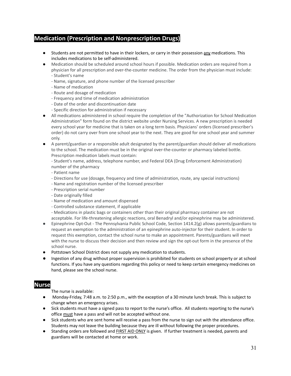## **Medication (Prescription and Nonprescription Drugs)**

- **●** Students are not permitted to have in their lockers, or carry in their possession any medications. This includes medications to be self-administered.
- Medication should be scheduled around school hours if possible. Medication orders are required from a physician for all prescription and over-the-counter medicine. The order from the physician must include: - Student's name
	- Name, signature, and phone number of the licensed prescriber
	- Name of medication
	- Route and dosage of medication
	- Frequency and time of medication administration
	- Date of the order and discontinuation date
	- Specific direction for administration if necessary
- All medications administered in school require the completion of the "Authorization for School Medication Administration" form found on the district website under Nursing Services. A new prescription is needed every school year for medicine that is taken on a long term basis. Physicians' orders (licensed prescriber's order) do not carry over from one school year to the next. They are good for one school year and summer only.
- A parent/guardian or a responsible adult designated by the parent/guardian should deliver all medications to the school. The medication must be in the original over-the-counter or pharmacy labeled bottle. Prescription medication labels must contain:

- Student's name, address, telephone number, and Federal DEA (Drug Enforcement Administration) number of the pharmacy

- Patient name
- Directions for use (dosage, frequency and time of administration, route, any special instructions)
- Name and registration number of the licensed prescriber
- Prescription serial number
- Date originally filled
- Name of medication and amount dispensed
- Controlled substance statement, if applicable
- Medications in plastic bags or containers other than their original pharmacy container are not
- acceptable. For life-threatening allergic reactions, oral Benadryl and/or epinephrine may be administered.
- Epinephrine Opt-Out The Pennsylvania Public School Code, Section 1414.2(g) allows parents/guardians to request an exemption to the administration of an epinephrine auto-injector for their student. In order to request this exemption, contact the school nurse to make an appointment. Parents/guardians will meet with the nurse to discuss their decision and then review and sign the opt-out form in the presence of the school nurse.
- Pottstown School District does not supply any medication to students.
- Ingestion of any drug without proper supervision is prohibited for students on school property or at school functions. If you have any questions regarding this policy or need to keep certain emergency medicines on hand, please see the school nurse.

## **Nurse Nurse**

The nurse is available:

- Monday-Friday, 7:48 a.m. to 2:50 p.m., with the exception of a 30 minute lunch break. This is subject to change when an emergency arises.
- Sick students must have a signed pass to report to the nurse's office. All students reporting to the nurse's office must have a pass and will not be accepted without one.
- Sick students who are sent home will receive a pass from the nurse to sign out with the attendance office. Students may not leave the building because they are ill without following the proper procedures.
- Standing orders are followed and FIRST AID ONLY is given. If further treatment is needed, parents and guardians will be contacted at home or work.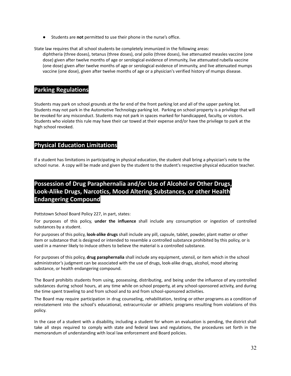● Students are **not** permitted to use their phone in the nurse's office.

State law requires that all school students be completely immunized in the following areas:

diphtheria (three doses), tetanus (three doses), oral polio (three doses), live attenuated measles vaccine (one dose) given after twelve months of age or serological evidence of immunity, live attenuated rubella vaccine (one dose) given after twelve months of age or serological evidence of immunity, and live attenuated mumps vaccine (one dose), given after twelve months of age or a physician's verified history of mumps disease.

#### **Parking Regulations**

Students may park on school grounds at the far end of the front parking lot and all of the upper parking lot. Students may not park in the Automotive Technology parking lot. Parking on school property is a privilege that will be revoked for any misconduct. Students may not park in spaces marked for handicapped, faculty, or visitors. Students who violate this rule may have their car towed at their expense and/or have the privilege to park at the high school revoked.

## **Physical Education Limitations**

If a student has limitations in participating in physical education, the student shall bring a physician's note to the school nurse. A copy will be made and given by the student to the student's respective physical education teacher.

## **Possession of Drug Paraphernalia and/or Use of Alcohol or Other Drugs, Look-Alike Drugs, Narcotics, Mood Altering Substances, or other Health Endangering Compound**

Pottstown School Board Policy 227, in part, states:

For purposes of this policy, **under the influence** shall include any consumption or ingestion of controlled substances by a student.

For purposes of this policy, **look-alike drugs** shall include any pill, capsule, tablet, powder, plant matter or other item or substance that is designed or intended to resemble a controlled substance prohibited by this policy, or is used in a manner likely to induce others to believe the material is a controlled substance.

For purposes of this policy, **drug paraphernalia** shall include any equipment, utensil, or item which in the school administrator's judgment can be associated with the use of drugs, look-alike drugs, alcohol, mood altering substance, or health endangering compound.

The Board prohibits students from using, possessing, distributing, and being under the influence of any controlled substances during school hours, at any time while on school property, at any school-sponsored activity, and during the time spent traveling to and from school and to and from school-sponsored activities.

The Board may require participation in drug counseling, rehabilitation, testing or other programs as a condition of reinstatement into the school's educational, extracurricular or athletic programs resulting from violations of this policy.

In the case of a student with a disability, including a student for whom an evaluation is pending, the district shall take all steps required to comply with state and federal laws and regulations, the procedures set forth in the memorandum of understanding with local law enforcement and Board policies.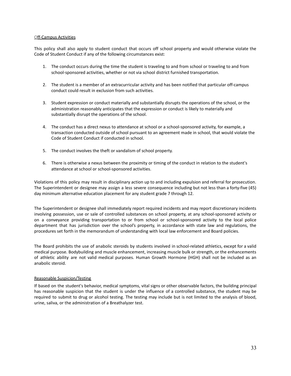#### Off-Campus Activities

This policy shall also apply to student conduct that occurs off school property and would otherwise violate the Code of Student Conduct if any of the following circumstances exist:

- 1. The conduct occurs during the time the student is traveling to and from school or traveling to and from school-sponsored activities, whether or not via school district furnished transportation.
- 2. The student is a member of an extracurricular activity and has been notified that particular off-campus conduct could result in exclusion from such activities.
- 3. Student expression or conduct materially and substantially disrupts the operations of the school, or the administration reasonably anticipates that the expression or conduct is likely to materially and substantially disrupt the operations of the school.
- 4. The conduct has a direct nexus to attendance at school or a school-sponsored activity, for example, a transaction conducted outside of school pursuant to an agreement made in school, that would violate the Code of Student Conduct if conducted in school.
- 5. The conduct involves the theft or vandalism of school property.
- 6. There is otherwise a nexus between the proximity or timing of the conduct in relation to the student's attendance at school or school-sponsored activities.

Violations of this policy may result in disciplinary action up to and including expulsion and referral for prosecution. The Superintendent or designee may assign a less severe consequence including but not less than a forty-five (45) day minimum alternative education placement for any student grade 7 through 12.

The Superintendent or designee shall immediately report required incidents and may report discretionary incidents involving possession, use or sale of controlled substances on school property, at any school-sponsored activity or on a conveyance providing transportation to or from school or school-sponsored activity to the local police department that has jurisdiction over the school's property, in accordance with state law and regulations, the procedures set forth in the memorandum of understanding with local law enforcement and Board policies.

The Board prohibits the use of anabolic steroids by students involved in school-related athletics, except for a valid medical purpose. Bodybuilding and muscle enhancement, increasing muscle bulk or strength, or the enhancements of athletic ability are not valid medical purposes. Human Growth Hormone (HGH) shall not be included as an anabolic steroid.

#### Reasonable Suspicion/Testing

If based on the student's behavior, medical symptoms, vital signs or other observable factors, the building principal has reasonable suspicion that the student is under the influence of a controlled substance, the student may be required to submit to drug or alcohol testing. The testing may include but is not limited to the analysis of blood, urine, saliva, or the administration of a Breathalyzer test.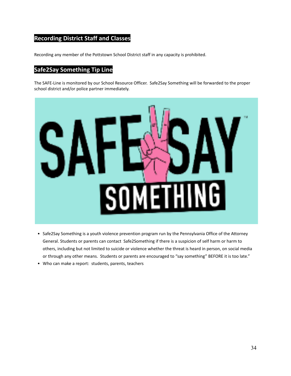## **Recording District Staff and Classes**

Recording any member of the Pottstown School District staff in any capacity is prohibited.

## **Safe2Say Something Tip Line**

The SAFE-Line is monitored by our School Resource Officer. Safe2Say Something will be forwarded to the proper school district and/or police partner immediately.



- Safe2Say Something is a youth violence prevention program run by the Pennsylvania Office of the Attorney General. Students or parents can contact Safe2Something if there is a suspicion of self harm or harm to others, including but not limited to suicide or violence whether the threat is heard in person, on social media or through any other means. Students or parents are encouraged to "say something" BEFORE it is too late."
- Who can make a report: students, parents, teachers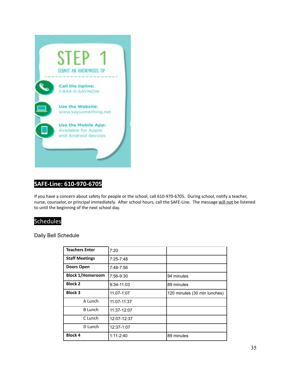

## **SAFE-Line: 610-970-6705**

If you have a concern about safety for people or the school, call 610-970-6705. During school, notify a teacher, nurse, counselor, or principal immediately. After school hours, call the SAFE-Line. The message will not be listened to until the beginning of the next school day.

## Schedules

Daily Bell Schedule

| <b>Teachers Enter</b>   | 7:20          |                              |
|-------------------------|---------------|------------------------------|
| <b>Staff Meetings</b>   | $7:25 - 7:48$ |                              |
| <b>Doors Open</b>       | 7:48-7:56     |                              |
| <b>Block 1/Homeroom</b> | 7:56-9:30     | 94 minutes                   |
| <b>Block 2</b>          | $9:34-11:03$  | 89 minutes                   |
| <b>Block 3</b>          | 11:07-1:07    | 120 minutes (30 min lunches) |
| A Lunch                 | 11:07-11:37   |                              |
| <b>B</b> Lunch          | 11:37-12:07   |                              |
| C Lunch                 | 12:07-12:37   |                              |
| D Lunch                 | 12:37-1:07    |                              |
| <b>Block 4</b>          | $1:11 - 2:40$ | 89 minutes                   |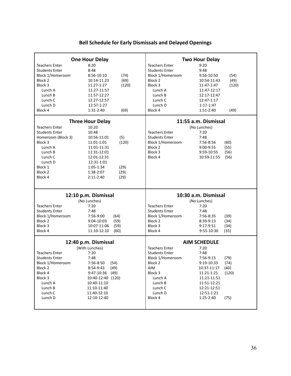## **Bell Schedule for Early Dismissals and Delayed Openings**

| <b>One Hour Delay</b>   |                     |                       | <b>Two Hour Delay</b> |
|-------------------------|---------------------|-----------------------|-----------------------|
| <b>Teachers Enter</b>   | 8:20                | <b>Teachers Enter</b> | 9:20                  |
| <b>Students Enter</b>   | 8:48                | <b>Students Enter</b> | 9:48                  |
| Block 1/Homeroom        | 8:56-10:10<br>(74)  | Block 1/Homeroom      | 9:56-10:50<br>(54)    |
| Block 2                 | (69)<br>10:14-11:23 | Block 2               | 10:54-11:43<br>(49)   |
| Block 3                 | (120)<br>11:27-1:27 | Block 3               | 11:47-1:47<br>(120)   |
| Lunch A                 | 11:27-11:57         | Lunch A               | 11:47-12:17           |
| Lunch B                 | 11:57-12:27         | Lunch B               | 12:17-12:47           |
| Lunch C                 | 12:27-12:57         | Lunch C               | 12:47-1:17            |
| Lunch D                 | 12:57-1:27          | Lunch D               | $1:17-1:47$           |
| Block 4                 | (69)<br>1:31-2:40   | Block 4               | 1:51-2:40<br>(49)     |
| <b>Three Hour Delay</b> |                     |                       | 11:55 a.m. Dismissal  |
| <b>Teachers Enter</b>   | 10:20               |                       | (No Lunches)          |
| <b>Students Enter</b>   | 10:48               | <b>Teachers Enter</b> | 7:20                  |
| Homeroom (Block 3)      | 10:56-11:01<br>(5)  | <b>Students Enter</b> | 7:48                  |
| Block 3                 | (120)<br>11:01-1:01 | Block 1/Homeroom      | 7:56-8:56<br>(60)     |
| Lunch A                 | 11:01-11:31         | Block 2               | 9:00-9:55<br>(55)     |
| Lunch B                 | 11:31-12:01         | Block 3               | 9:59-10:55<br>(56)    |
| Lunch C                 | 12:01-12:31         | Block 4               | 10:59-11:55<br>(56)   |
| Lunch D                 | 12:31-1:01          |                       |                       |
| Block 1                 | 1:05-1:34<br>(29)   |                       |                       |
| Block <sub>2</sub>      | (29)<br>1:38-2:07   |                       |                       |
| Block 4                 | 2:11-2:40<br>(29)   |                       |                       |
|                         |                     |                       |                       |
| 12:10 p.m. Dismissal    |                     |                       | 10:30 a.m. Dismissal  |
|                         | (No Lunches)        |                       | (No Lunches)          |
| <b>Teachers Enter</b>   | 7:20                | <b>Teachers Enter</b> | 7:20                  |
| <b>Students Enter</b>   | 7:48                | <b>Students Enter</b> | 7:48                  |
| Block 1/Homeroom        | 7:56-9:00<br>(64)   | Block 1/Homeroom      | 7:56-8:35<br>(39)     |
| Block 2                 | 9:04-10:03<br>(59)  | Block 2               | 8:39-9:13<br>(34)     |
| Block 3                 | 10:07-11:06<br>(59) | Block 3               | 9:17-9:51<br>(34)     |
| Block 4                 | 11:10-12:10<br>(60) | Block 4               | 9:55-10:30<br>(35)    |
| 12:40 p.m. Dismissal    |                     |                       | <b>AIM SCHEDULE</b>   |
|                         | (With Lunches)      | <b>Teachers Enter</b> | 7:20                  |
| <b>Teachers Enter</b>   | 7:20                | <b>Students Enter</b> | 7:48                  |
| <b>Students Enter</b>   | 7:48                | Block 1/Homeroom      | 7:56-9:15<br>(79)     |
| <b>Block 1/Homeroom</b> | 7:56-8:50<br>(54)   | Block 2               | 9:19-10:33<br>(74)    |
| Block 2                 | 8:54-9:43<br>(49)   | AIM                   | (40)<br>10:37-11:17   |
| Block 4                 | 9:47-10:36<br>(49)  | Block 3               | 11:21-1:21<br>(120)   |
| Block 3                 | 10:40-12:40 (120)   | Lunch A               | 11:21-11:51           |
| Lunch A                 | 10:40-11:10         | Lunch B               | 11:51-12:21           |
|                         |                     |                       | 12:21-12:51           |
| Lunch B                 | 11:10-11:40         | Lunch C               |                       |
| Lunch C                 | 11:40-12:10         | Lunch D               | 12:51-1:21            |
| Lunch D                 | 12:10-12:40         | Block 4               | 1:25-2:40<br>(75)     |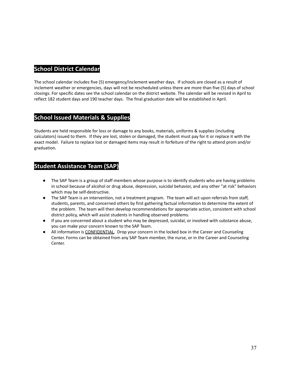## **School District Calendar**

The school calendar includes five (5) emergency/inclement weather days. If schools are closed as a result of inclement weather or emergencies, days will not be rescheduled unless there are more than five (5) days of school closings. For specific dates see the school calendar on the district website. The calendar will be revised in April to reflect 182 student days and 190 teacher days. The final graduation date will be established in April.

## **School Issued Materials & Supplies**

Students are held responsible for loss or damage to any books, materials, uniforms & supplies (including calculators) issued to them. If they are lost, stolen or damaged, the student must pay for it or replace it with the exact model. Failure to replace lost or damaged items may result in forfeiture of the right to attend prom and/or graduation.

### **Student Assistance Team (SAP)**

- The SAP Team is a group of staff members whose purpose is to identify students who are having problems in school because of alcohol or drug abuse, depression, suicidal behavior, and any other "at risk" behaviors which may be self-destructive.
- The SAP Team is an intervention, not a treatment program. The team will act upon referrals from staff, students, parents, and concerned others by first gathering factual information to determine the extent of the problem. The team will then develop recommendations for appropriate action, consistent with school district policy, which will assist students in handling observed problems.
- If you are concerned about a student who may be depressed, suicidal, or involved with substance abuse, you can make your concern known to the SAP Team.
- All information is CONFIDENTIAL. Drop your concern in the locked box in the Career and Counseling Center. Forms can be obtained from any SAP Team member, the nurse, or in the Career and Counseling Center.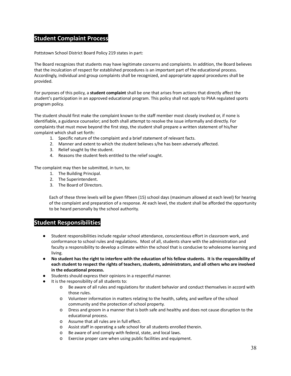#### **Student Complaint Process**

Pottstown School District Board Policy 219 states in part:

The Board recognizes that students may have legitimate concerns and complaints. In addition, the Board believes that the inculcation of respect for established procedures is an important part of the educational process. Accordingly, individual and group complaints shall be recognized, and appropriate appeal procedures shall be provided.

For purposes of this policy, a **student complaint** shall be one that arises from actions that directly affect the student's participation in an approved educational program. This policy shall not apply to PIAA regulated sports program policy.

The student should first make the complaint known to the staff member most closely involved or, if none is identifiable, a guidance counselor; and both shall attempt to resolve the issue informally and directly. For complaints that must move beyond the first step, the student shall prepare a written statement of his/her complaint which shall set forth:

- 1. Specific nature of the complaint and a brief statement of relevant facts.
- 2. Manner and extent to which the student believes s/he has been adversely affected.
- 3. Relief sought by the student.
- 4. Reasons the student feels entitled to the relief sought.

The complaint may then be submitted, in turn, to:

- 1. The Building Principal.
- 2. The Superintendent.
- 3. The Board of Directors.

Each of these three levels will be given fifteen (15) school days (maximum allowed at each level) for hearing of the complaint and preparation of a response. At each level, the student shall be afforded the opportunity to be heard personally by the school authority.

#### **Student Responsibilities**

- Student responsibilities include regular school attendance, conscientious effort in classroom work, and conformance to school rules and regulations. Most of all, students share with the administration and faculty a responsibility to develop a climate within the school that is conducive to wholesome learning and living.
- No student has the right to interfere with the education of his fellow students. It is the responsibility of **each student to respect the rights of teachers, students, administrators, and all others who are involved in the educational process.**
- Students should express their opinions in a respectful manner.
- It is the responsibility of all students to:
	- o Be aware of all rules and regulations for student behavior and conduct themselves in accord with those rules.
	- o Volunteer information in matters relating to the health, safety, and welfare of the school community and the protection of school property.
	- o Dress and groom in a manner that is both safe and healthy and does not cause disruption to the educational process.
	- o Assume that all rules are in full effect.
	- o Assist staff in operating a safe school for all students enrolled therein.
	- o Be aware of and comply with federal, state, and local laws.
	- o Exercise proper care when using public facilities and equipment.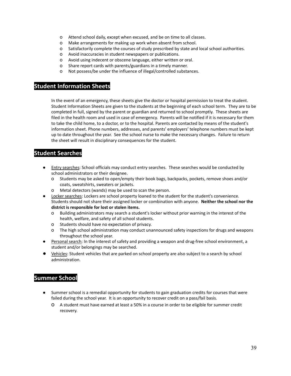- o Attend school daily, except when excused, and be on time to all classes.
- o Make arrangements for making up work when absent from school.
- o Satisfactorily complete the courses of study prescribed by state and local school authorities.
- o Avoid inaccuracies in student newspapers or publications.
- o Avoid using indecent or obscene language, either written or oral.
- o Share report cards with parents/guardians in a timely manner.
- o Not possess/be under the influence of illegal/controlled substances.

#### **Student Information Sheets**

In the event of an emergency, these sheets give the doctor or hospital permission to treat the student. Student Information Sheets are given to the students at the beginning of each school term. They are to be completed in full, signed by the parent or guardian and returned to school promptly. These sheets are filed in the health room and used in case of emergency. Parents will be notified if it is necessary for them to take the child home, to a doctor, or to the hospital. Parents are contacted by means of the student's information sheet. Phone numbers, addresses, and parents' employers' telephone numbers must be kept up to date throughout the year. See the school nurse to make the necessary changes. Failure to return the sheet will result in disciplinary consequences for the student.

## **Student Searches**

- Entry searches: School officials may conduct entry searches. These searches would be conducted by school administrators or their designee.
	- o Students may be asked to open/empty their book bags, backpacks, pockets, remove shoes and/or coats, sweatshirts, sweaters or jackets.
	- o Metal detectors (wands) may be used to scan the person.
- Locker searches: Lockers are school property loaned to the student for the student's convenience. Students should not share their assigned locker or combination with anyone. **Neither the school nor the district is responsible for lost or stolen items.**
	- o Building administrators may search a student's locker without prior warning in the interest of the health, welfare, and safety of all school students.
	- o Students should have no expectation of privacy.
	- o The high school administration may conduct unannounced safety inspections for drugs and weapons throughout the school year.
- Personal search: In the interest of safety and providing a weapon and drug-free school environment, a student and/or belongings may be searched.
- Vehicles: Student vehicles that are parked on school property are also subject to a search by school administration.

## **Summer School**

- Summer school is a remedial opportunity for students to gain graduation credits for courses that were failed during the school year. It is an opportunity to recover credit on a pass/fail basis.
	- o A student must have earned at least a 50% in a course in order to be eligible for summer credit recovery.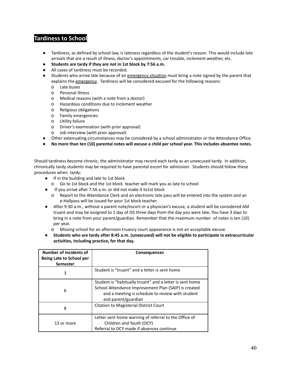## **Tardiness to School**

- Tardiness, as defined by school law, is lateness regardless of the student's reason. This would include late arrivals that are a result of illness, doctor's appointments, car trouble, inclement weather, etc.
- **● Students are tardy if they are not in 1st block by 7:56 a.m.**
- All cases of tardiness must be recorded.
- Students who arrive late because of an emergency situation must bring a note signed by the parent that explains the emergency. Tardiness will be considered excused for the following reasons:
	- o Late buses
	- o Personal illness
	- o Medical reasons (with a note from a doctor)
	- o Hazardous conditions due to inclement weather
	- o Religious obligations
	- o Family emergencies
	- o Utility failure
	- o Driver's examination (with prior approval)
	- o Job interview (with prior approval)
	- Other extenuating circumstances may be considered by a school administrator or the Attendance Office.
- No more than ten (10) parental notes will excuse a child per school year. This includes absentee notes.

Should tardiness become chronic, the administrator may record each tardy as an unexcused tardy. In addition, chronically tardy students may be required to have parental escort for admission. Students should follow these procedures when tardy:

- If in the building and late to 1st block
	- o Go to 1st block and the 1st block teacher will mark you as late to school
- If you arrive after 7:56 a.m. or did not make it to1st block
	- o Report to the Attendance Clerk and an electronic late pass will be entered into the system and an e-Hallpass will be issued for your 1st block teacher.
- After 9:30 a.m., without a parent note/escort or a physician's excuse, a student will be considered AM truant and may be assigned to 1 day of ISS three days from the day you were late**.** You have 3 days to bring in a note from your parent/guardian. Remember that the maximum number of notes is ten (10) per year.
	- o Missing school for an afternoon truancy court appearance is not an acceptable excuse.
- Students who are tardy after 8:45 a.m. (unexcused) will not be eligible to participate in extracurricular **activities, including practice, for that day.**

| <b>Number of Incidents of</b><br>Being Late to School per<br><b>Semester</b> | <b>Consequences</b>                                                                                                                                                                         |  |
|------------------------------------------------------------------------------|---------------------------------------------------------------------------------------------------------------------------------------------------------------------------------------------|--|
| 3                                                                            | Student is "truant" and a letter is sent home                                                                                                                                               |  |
| 6                                                                            | Student is "habitually truant" and a letter is sent home<br>School Attendance Improvement Plan (SAIP) is created<br>and a meeting is schedule to review with student<br>and parent/guardian |  |
| 8                                                                            | Citation to Magisterial District Court                                                                                                                                                      |  |
| 13 or more                                                                   | Letter sent home warning of referral to the Office of<br>Children and Youth (OCY)<br>Referral to OCY made if absences continue                                                              |  |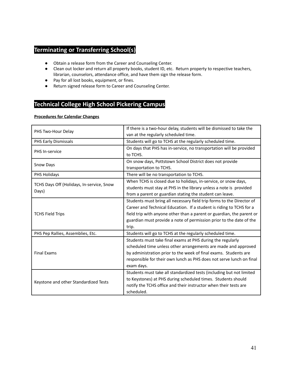## **Terminating or Transferring School(s)**

- Obtain a release form from the Career and Counseling Center.
- Clean out locker and return all property books, student ID, etc. Return property to respective teachers, librarian, counselors, attendance office, and have them sign the release form.
- Pay for all lost books, equipment, or fines.
- Return signed release form to Career and Counseling Center.

## **Technical College High School Pickering Campus**

#### **Procedures for Calendar Changes**

|                                           | If there is a two-hour delay, students will be dismissed to take the  |  |
|-------------------------------------------|-----------------------------------------------------------------------|--|
| PHS Two-Hour Delay                        | van at the regularly scheduled time.                                  |  |
| <b>PHS Early Dismissals</b>               | Students will go to TCHS at the regularly scheduled time.             |  |
| PHS In-service                            | On days that PHS has in-service, no transportation will be provided   |  |
|                                           | to TCHS.                                                              |  |
|                                           | On snow days, Pottstown School District does not provide              |  |
| <b>Snow Days</b>                          | transportation to TCHS.                                               |  |
| PHS Holidays                              | There will be no transportation to TCHS.                              |  |
|                                           | When TCHS is closed due to holidays, in-service, or snow days,        |  |
| TCHS Days Off (Holidays, In-service, Snow | students must stay at PHS in the library unless a note is provided    |  |
| Days)                                     | from a parent or guardian stating the student can leave.              |  |
|                                           | Students must bring all necessary field trip forms to the Director of |  |
|                                           | Career and Technical Education. If a student is riding to TCHS for a  |  |
| <b>TCHS Field Trips</b>                   | field trip with anyone other than a parent or guardian, the parent or |  |
|                                           | guardian must provide a note of permission prior to the date of the   |  |
|                                           | trip.                                                                 |  |
| PHS Pep Rallies, Assemblies, Etc.         | Students will go to TCHS at the regularly scheduled time.             |  |
|                                           | Students must take final exams at PHS during the regularly            |  |
|                                           | scheduled time unless other arrangements are made and approved        |  |
| <b>Final Exams</b>                        | by administration prior to the week of final exams. Students are      |  |
|                                           | responsible for their own lunch as PHS does not serve lunch on final  |  |
|                                           | exam days.                                                            |  |
|                                           | Students must take all standardized tests (including but not limited  |  |
|                                           | to Keystones) at PHS during scheduled times. Students should          |  |
| Keystone and other Standardized Tests     | notify the TCHS office and their instructor when their tests are      |  |
|                                           | scheduled.                                                            |  |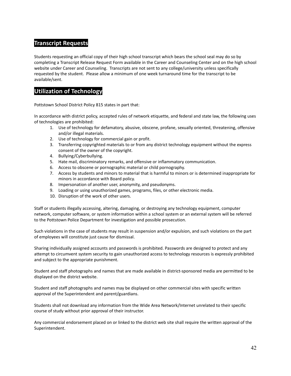## **Transcript Requests**

Students requesting an official copy of their high school transcript which bears the school seal may do so by completing a Transcript Release Request Form available in the Career and Counseling Center and on the high school website under Career and Counseling. Transcripts are not sent to any college/university unless specifically requested by the student. Please allow a minimum of one week turnaround time for the transcript to be available/sent.

## **Utilization of Technology**

Pottstown School District Policy 815 states in part that:

In accordance with district policy, accepted rules of network etiquette, and federal and state law, the following uses of technologies are prohibited:

- 1. Use of technology for defamatory, abusive, obscene, profane, sexually oriented, threatening, offensive and/or illegal materials.
- 2. Use of technology for commercial gain or profit.
- 3. Transferring copyrighted materials to or from any district technology equipment without the express consent of the owner of the copyright.
- 4. Bullying/Cyberbullying.
- 5. Hate mail, discriminatory remarks, and offensive or inflammatory communication.
- 6. Access to obscene or pornographic material or child pornography.
- 7. Access by students and minors to material that is harmful to minors or is determined inappropriate for minors in accordance with Board policy.
- 8. Impersonation of another user, anonymity, and pseudonyms.
- 9. Loading or using unauthorized games, programs, files, or other electronic media.
- 10. Disruption of the work of other users.

Staff or students illegally accessing, altering, damaging, or destroying any technology equipment, computer network, computer software, or system information within a school system or an external system will be referred to the Pottstown Police Department for investigation and possible prosecution.

Such violations in the case of students may result in suspension and/or expulsion, and such violations on the part of employees will constitute just cause for dismissal.

Sharing individually assigned accounts and passwords is prohibited. Passwords are designed to protect and any attempt to circumvent system security to gain unauthorized access to technology resources is expressly prohibited and subject to the appropriate punishment.

Student and staff photographs and names that are made available in district-sponsored media are permitted to be displayed on the district website.

Student and staff photographs and names may be displayed on other commercial sites with specific written approval of the Superintendent and parent/guardians.

Students shall not download any information from the Wide Area Network/Internet unrelated to their specific course of study without prior approval of their instructor.

Any commercial endorsement placed on or linked to the district web site shall require the written approval of the Superintendent.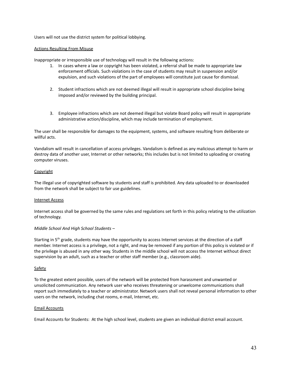Users will not use the district system for political lobbying.

#### Actions Resulting From Misuse

Inappropriate or irresponsible use of technology will result in the following actions:

- 1. In cases where a law or copyright has been violated, a referral shall be made to appropriate law enforcement officials. Such violations in the case of students may result in suspension and/or expulsion, and such violations of the part of employees will constitute just cause for dismissal.
- 2. Student infractions which are not deemed illegal will result in appropriate school discipline being imposed and/or reviewed by the building principal.
- 3. Employee infractions which are not deemed illegal but violate Board policy will result in appropriate administrative action/discipline, which may include termination of employment.

The user shall be responsible for damages to the equipment, systems, and software resulting from deliberate or willful acts.

Vandalism will result in cancellation of access privileges. Vandalism is defined as any malicious attempt to harm or destroy data of another user, Internet or other networks; this includes but is not limited to uploading or creating computer viruses.

#### **Copyright**

The illegal use of copyrighted software by students and staff is prohibited. Any data uploaded to or downloaded from the network shall be subject to fair use guidelines.

#### Internet Access

Internet access shall be governed by the same rules and regulations set forth in this policy relating to the utilization of technology.

#### *Middle School And High School Students –*

Starting in 5<sup>th</sup> grade, students may have the opportunity to access Internet services at the direction of a staff member. Internet access is a privilege, not a right, and may be removed if any portion of this policy is violated or if the privilege is abused in any other way. Students in the middle school will not access the Internet without direct supervision by an adult, such as a teacher or other staff member (e.g., classroom aide).

#### Safety

To the greatest extent possible, users of the network will be protected from harassment and unwanted or unsolicited communication. Any network user who receives threatening or unwelcome communications shall report such immediately to a teacher or administrator. Network users shall not reveal personal information to other users on the network, including chat rooms, e-mail, Internet, etc.

#### Email Accounts

Email Accounts for Students: At the high school level, students are given an individual district email account.